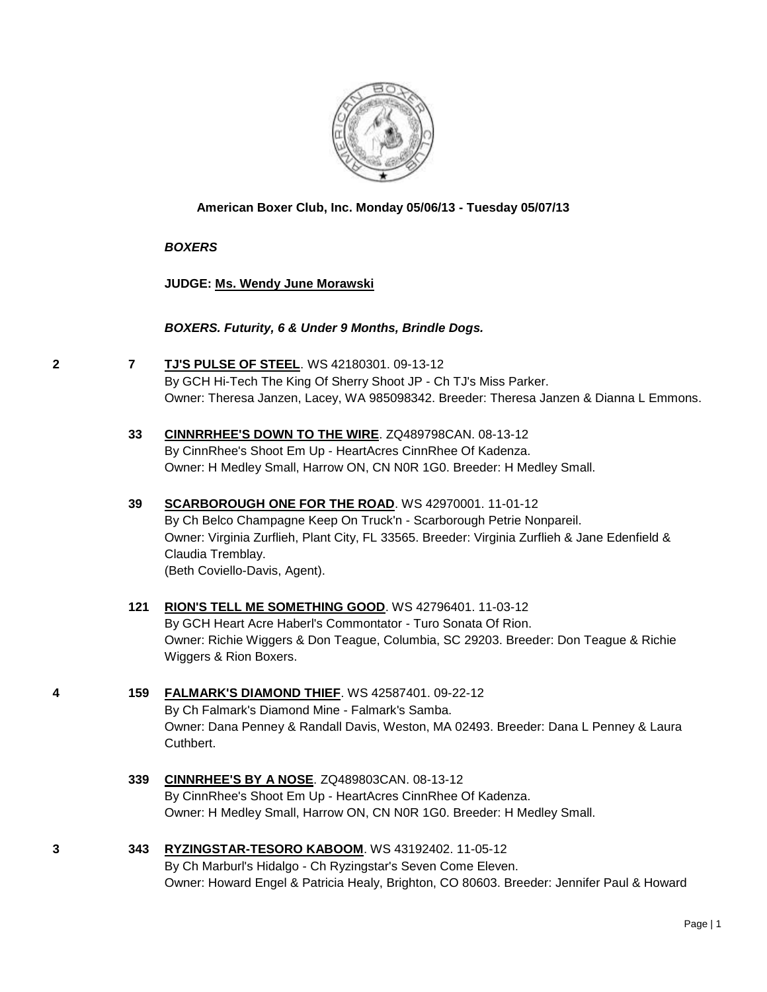

#### **American Boxer Club, Inc. Monday 05/06/13 - Tuesday 05/07/13**

#### *BOXERS*

**JUDGE: [Ms. Wendy June Morawski](http://www.infodog.com/judges/10619/juddat.htm)**

#### *BOXERS. Futurity, 6 & Under 9 Months, Brindle Dogs.*

- **2 7 [TJ'S PULSE OF STEEL](http://www.infodog.com/files/bdogrsl1.prg;makc=WS%2042180301;mdog=TJ_s_Pulse_Of_Steel;wins=all)**. WS 42180301. 09-13-12 By GCH Hi-Tech The King Of Sherry Shoot JP - Ch TJ's Miss Parker. Owner: Theresa Janzen, Lacey, WA 985098342. Breeder: Theresa Janzen & Dianna L Emmons.
	- **33 [CINNRRHEE'S DOWN TO THE WIRE](http://www.infodog.com/files/bdogrsl1.prg;makc=ZQ489798CAN;mdog=CinnrRhee_s_Down_To_The_Wire;wins=all)**. ZQ489798CAN. 08-13-12 By CinnRhee's Shoot Em Up - HeartAcres CinnRhee Of Kadenza. Owner: H Medley Small, Harrow ON, CN N0R 1G0. Breeder: H Medley Small.
	- **39 [SCARBOROUGH ONE FOR THE ROAD](http://www.infodog.com/files/bdogrsl1.prg;makc=WS%2042970001;mdog=Scarborough_One_For_The_Road;wins=all)**. WS 42970001. 11-01-12 By Ch Belco Champagne Keep On Truck'n - Scarborough Petrie Nonpareil. Owner: Virginia Zurflieh, Plant City, FL 33565. Breeder: Virginia Zurflieh & Jane Edenfield & Claudia Tremblay. (Beth Coviello-Davis, Agent).
	- **121 [RION'S TELL ME SOMETHING GOOD](http://www.infodog.com/files/bdogrsl1.prg;makc=WS%2042796401;mdog=Rion_s_Tell_Me_Something_Good;wins=all)**. WS 42796401. 11-03-12 By GCH Heart Acre Haberl's Commontator - Turo Sonata Of Rion. Owner: Richie Wiggers & Don Teague, Columbia, SC 29203. Breeder: Don Teague & Richie Wiggers & Rion Boxers.
- **4 159 [FALMARK'S DIAMOND THIEF](http://www.infodog.com/files/bdogrsl1.prg;makc=WS%2042587401;mdog=Falmark_s_Diamond_Thief;wins=all)**. WS 42587401. 09-22-12 By Ch Falmark's Diamond Mine - Falmark's Samba. Owner: Dana Penney & Randall Davis, Weston, MA 02493. Breeder: Dana L Penney & Laura Cuthbert.
	- **339 [CINNRHEE'S BY A NOSE](http://www.infodog.com/files/bdogrsl1.prg;makc=ZQ489803CAN;mdog=CinnRhee_s_By_A_Nose;wins=all)**. ZQ489803CAN. 08-13-12 By CinnRhee's Shoot Em Up - HeartAcres CinnRhee Of Kadenza. Owner: H Medley Small, Harrow ON, CN N0R 1G0. Breeder: H Medley Small.
- **3 343 [RYZINGSTAR-TESORO KABOOM](http://www.infodog.com/files/bdogrsl1.prg;makc=WS%2043192402;mdog=Ryzingstar-Tesoro_Kaboom;wins=all)**. WS 43192402. 11-05-12 By Ch Marburl's Hidalgo - Ch Ryzingstar's Seven Come Eleven. Owner: Howard Engel & Patricia Healy, Brighton, CO 80603. Breeder: Jennifer Paul & Howard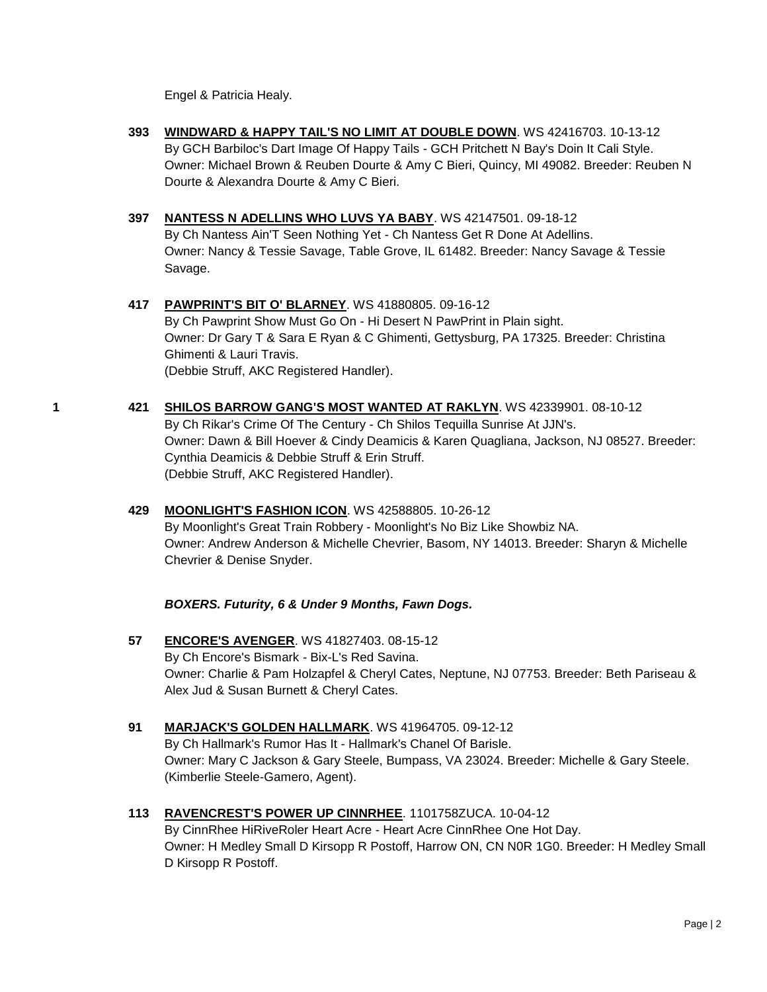Engel & Patricia Healy.

- **393 [WINDWARD & HAPPY TAIL'S NO LIMIT AT DOUBLE DOWN](http://www.infodog.com/files/bdogrsl1.prg;makc=WS%2042416703;mdog=Windward_&_Happy_Tail_s_No_Limit_At_Double_Down;wins=all)**. WS 42416703. 10-13-12 By GCH Barbiloc's Dart Image Of Happy Tails - GCH Pritchett N Bay's Doin It Cali Style. Owner: Michael Brown & Reuben Dourte & Amy C Bieri, Quincy, MI 49082. Breeder: Reuben N Dourte & Alexandra Dourte & Amy C Bieri.
- **397 [NANTESS N ADELLINS WHO LUVS YA BABY](http://www.infodog.com/files/bdogrsl1.prg;makc=WS%2042147501;mdog=Nantess_N_Adellins_Who_Luvs_Ya_Baby;wins=all)**. WS 42147501. 09-18-12 By Ch Nantess Ain'T Seen Nothing Yet - Ch Nantess Get R Done At Adellins. Owner: Nancy & Tessie Savage, Table Grove, IL 61482. Breeder: Nancy Savage & Tessie Savage.
- **417 [PAWPRINT'S BIT O' BLARNEY](http://www.infodog.com/files/bdogrsl1.prg;makc=WS%2041880805;mdog=Pawprint_s_Bit_O__Blarney;wins=all)**. WS 41880805. 09-16-12 By Ch Pawprint Show Must Go On - Hi Desert N PawPrint in Plain sight. Owner: Dr Gary T & Sara E Ryan & C Ghimenti, Gettysburg, PA 17325. Breeder: Christina Ghimenti & Lauri Travis. (Debbie Struff, AKC Registered Handler).
- **1 421 [SHILOS BARROW GANG'S MOST WANTED AT RAKLYN](http://www.infodog.com/files/bdogrsl1.prg;makc=WS%2042339901;mdog=Shilos_Barrow_Gang_s_Most_Wanted_At_Raklyn;wins=all)**. WS 42339901. 08-10-12 By Ch Rikar's Crime Of The Century - Ch Shilos Tequilla Sunrise At JJN's. Owner: Dawn & Bill Hoever & Cindy Deamicis & Karen Quagliana, Jackson, NJ 08527. Breeder: Cynthia Deamicis & Debbie Struff & Erin Struff. (Debbie Struff, AKC Registered Handler).
	- **429 [MOONLIGHT'S FASHION ICON](http://www.infodog.com/files/bdogrsl1.prg;makc=WS%2042588805;mdog=Moonlight_s_Fashion_Icon;wins=all)**. WS 42588805. 10-26-12 By Moonlight's Great Train Robbery - Moonlight's No Biz Like Showbiz NA. Owner: Andrew Anderson & Michelle Chevrier, Basom, NY 14013. Breeder: Sharyn & Michelle Chevrier & Denise Snyder.

*BOXERS. Futurity, 6 & Under 9 Months, Fawn Dogs.*

- **57 [ENCORE'S AVENGER](http://www.infodog.com/files/bdogrsl1.prg;makc=WS%2041827403;mdog=Encore_s_Avenger;wins=all)**. WS 41827403. 08-15-12 By Ch Encore's Bismark - Bix-L's Red Savina. Owner: Charlie & Pam Holzapfel & Cheryl Cates, Neptune, NJ 07753. Breeder: Beth Pariseau & Alex Jud & Susan Burnett & Cheryl Cates.
- **91 [MARJACK'S GOLDEN HALLMARK](http://www.infodog.com/files/bdogrsl1.prg;makc=WS%2041964705;mdog=Marjack_s_Golden_Hallmark;wins=all)**. WS 41964705. 09-12-12 By Ch Hallmark's Rumor Has It - Hallmark's Chanel Of Barisle. Owner: Mary C Jackson & Gary Steele, Bumpass, VA 23024. Breeder: Michelle & Gary Steele. (Kimberlie Steele-Gamero, Agent).
- **113 [RAVENCREST'S POWER UP CINNRHEE](http://www.infodog.com/files/bdogrsl1.prg;makc=%201101758ZUCA;mdog=Ravencrest_s_Power_Up_CinnRhee;wins=all)**. 1101758ZUCA. 10-04-12 By CinnRhee HiRiveRoler Heart Acre - Heart Acre CinnRhee One Hot Day. Owner: H Medley Small D Kirsopp R Postoff, Harrow ON, CN N0R 1G0. Breeder: H Medley Small D Kirsopp R Postoff.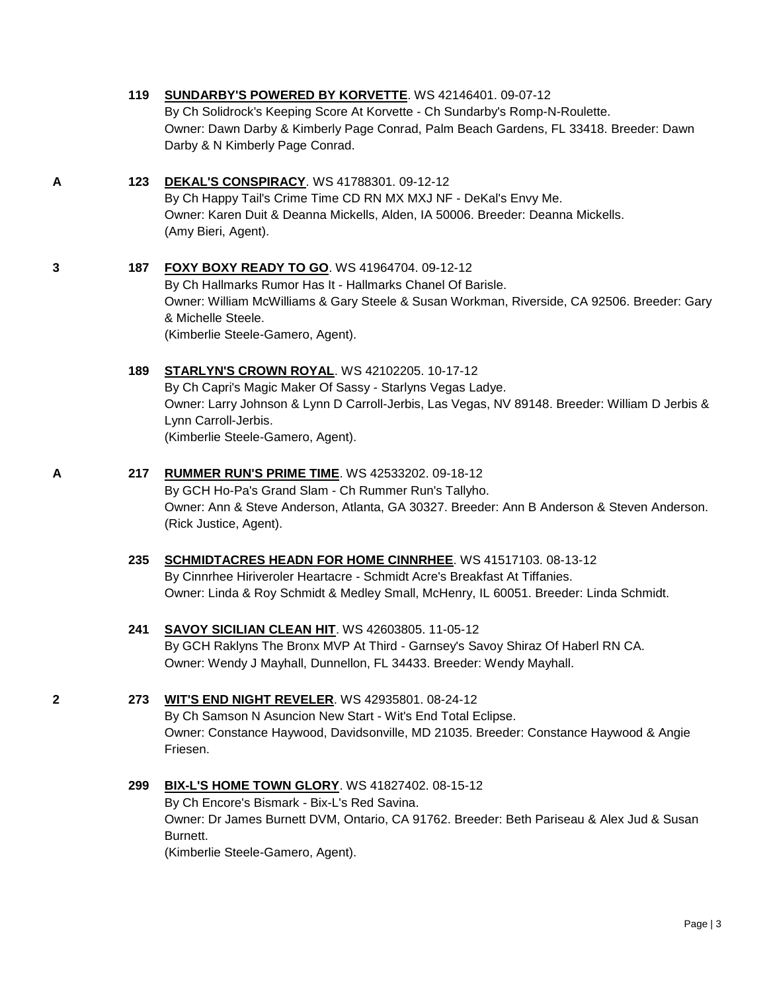|   | 119 | SUNDARBY'S POWERED BY KORVETTE. WS 42146401. 09-07-12<br>By Ch Solidrock's Keeping Score At Korvette - Ch Sundarby's Romp-N-Roulette.<br>Owner: Dawn Darby & Kimberly Page Conrad, Palm Beach Gardens, FL 33418. Breeder: Dawn<br>Darby & N Kimberly Page Conrad.                |
|---|-----|----------------------------------------------------------------------------------------------------------------------------------------------------------------------------------------------------------------------------------------------------------------------------------|
| Α | 123 | <b>DEKAL'S CONSPIRACY.</b> WS 41788301. 09-12-12<br>By Ch Happy Tail's Crime Time CD RN MX MXJ NF - DeKal's Envy Me.<br>Owner: Karen Duit & Deanna Mickells, Alden, IA 50006. Breeder: Deanna Mickells.<br>(Amy Bieri, Agent).                                                   |
| 3 | 187 | FOXY BOXY READY TO GO. WS 41964704. 09-12-12<br>By Ch Hallmarks Rumor Has It - Hallmarks Chanel Of Barisle.<br>Owner: William McWilliams & Gary Steele & Susan Workman, Riverside, CA 92506. Breeder: Gary<br>& Michelle Steele.<br>(Kimberlie Steele-Gamero, Agent).            |
|   | 189 | <b>STARLYN'S CROWN ROYAL. WS 42102205. 10-17-12</b><br>By Ch Capri's Magic Maker Of Sassy - Starlyns Vegas Ladye.<br>Owner: Larry Johnson & Lynn D Carroll-Jerbis, Las Vegas, NV 89148. Breeder: William D Jerbis &<br>Lynn Carroll-Jerbis.<br>(Kimberlie Steele-Gamero, Agent). |
| A | 217 | <b>RUMMER RUN'S PRIME TIME. WS 42533202. 09-18-12</b><br>By GCH Ho-Pa's Grand Slam - Ch Rummer Run's Tallyho.<br>Owner: Ann & Steve Anderson, Atlanta, GA 30327. Breeder: Ann B Anderson & Steven Anderson.<br>(Rick Justice, Agent).                                            |
|   | 235 | <b>SCHMIDTACRES HEADN FOR HOME CINNRHEE. WS 41517103. 08-13-12</b><br>By Cinnrhee Hiriveroler Heartacre - Schmidt Acre's Breakfast At Tiffanies.<br>Owner: Linda & Roy Schmidt & Medley Small, McHenry, IL 60051. Breeder: Linda Schmidt.                                        |
|   | 241 | SAVOY SICILIAN CLEAN HIT. WS 42603805. 11-05-12<br>By GCH Raklyns The Bronx MVP At Third - Garnsey's Savoy Shiraz Of Haberl RN CA.<br>Owner: Wendy J Mayhall, Dunnellon, FL 34433. Breeder: Wendy Mayhall.                                                                       |
| 2 | 273 | WIT'S END NIGHT REVELER. WS 42935801. 08-24-12<br>By Ch Samson N Asuncion New Start - Wit's End Total Eclipse.<br>Owner: Constance Haywood, Davidsonville, MD 21035. Breeder: Constance Haywood & Angie<br>Friesen.                                                              |
|   | 299 | <b>BIX-L'S HOME TOWN GLORY.</b> WS 41827402. 08-15-12<br>By Ch Encore's Bismark - Bix-L's Red Savina.<br>Owner: Dr James Burnett DVM, Ontario, CA 91762. Breeder: Beth Pariseau & Alex Jud & Susan<br>Burnett.<br>(Kimberlie Steele-Gamero, Agent).                              |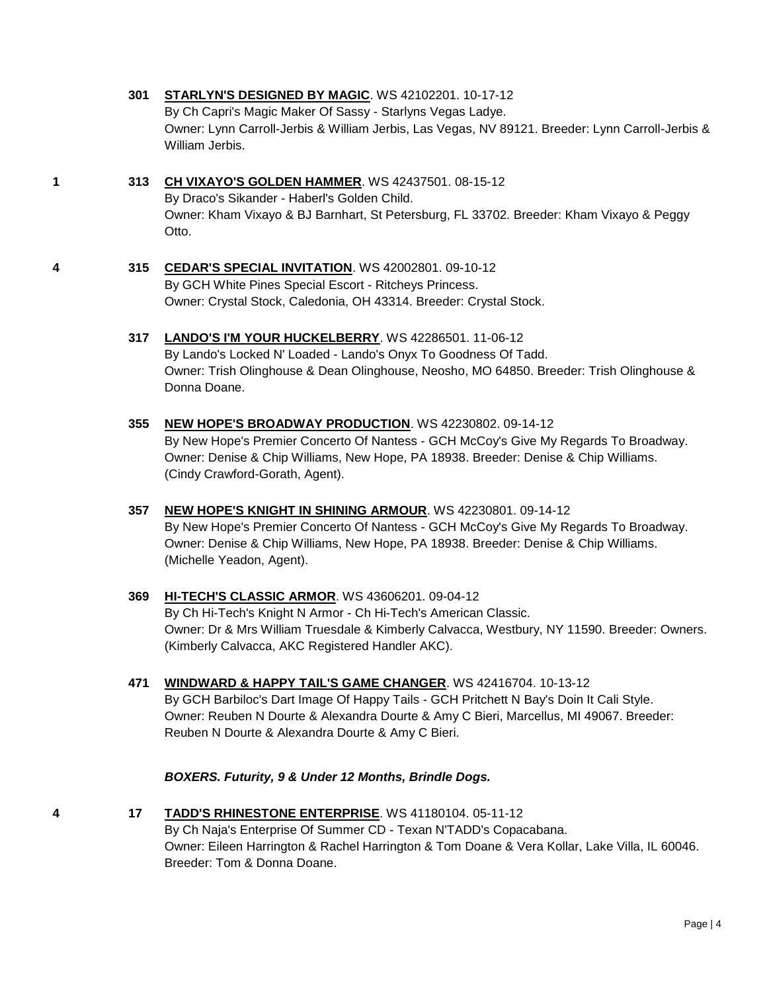# **301 [STARLYN'S DESIGNED BY MAGIC](http://www.infodog.com/files/bdogrsl1.prg;makc=WS%2042102201;mdog=Starlyn_s_Designed_By_Magic;wins=all)**. WS 42102201. 10-17-12

By Ch Capri's Magic Maker Of Sassy - Starlyns Vegas Ladye. Owner: Lynn Carroll-Jerbis & William Jerbis, Las Vegas, NV 89121. Breeder: Lynn Carroll-Jerbis & William Jerbis.

# **1 313 [CH VIXAYO'S GOLDEN HAMMER](http://www.infodog.com/files/bdogrsl1.prg;makc=WS%2042437501;mdog=Ch_Vixayo_s_Golden_Hammer;wins=all)**. WS 42437501. 08-15-12 By Draco's Sikander - Haberl's Golden Child. Owner: Kham Vixayo & BJ Barnhart, St Petersburg, FL 33702. Breeder: Kham Vixayo & Peggy Otto.

- **4 315 [CEDAR'S SPECIAL INVITATION](http://www.infodog.com/files/bdogrsl1.prg;makc=WS%2042002801;mdog=Cedar_s_Special_Invitation;wins=all)**. WS 42002801. 09-10-12 By GCH White Pines Special Escort - Ritcheys Princess. Owner: Crystal Stock, Caledonia, OH 43314. Breeder: Crystal Stock.
	- **317 [LANDO'S I'M YOUR HUCKELBERRY](http://www.infodog.com/files/bdogrsl1.prg;makc=WS%2042286501;mdog=Lando_s_I_m_Your_Huckelberry;wins=all)**. WS 42286501. 11-06-12 By Lando's Locked N' Loaded - Lando's Onyx To Goodness Of Tadd. Owner: Trish Olinghouse & Dean Olinghouse, Neosho, MO 64850. Breeder: Trish Olinghouse & Donna Doane.
	- **355 [NEW HOPE'S BROADWAY PRODUCTION](http://www.infodog.com/files/bdogrsl1.prg;makc=WS%2042230802;mdog=New_Hope_s_Broadway_Production;wins=all)**. WS 42230802. 09-14-12 By New Hope's Premier Concerto Of Nantess - GCH McCoy's Give My Regards To Broadway. Owner: Denise & Chip Williams, New Hope, PA 18938. Breeder: Denise & Chip Williams. (Cindy Crawford-Gorath, Agent).
	- **357 [NEW HOPE'S KNIGHT IN SHINING ARMOUR](http://www.infodog.com/files/bdogrsl1.prg;makc=WS%2042230801;mdog=New_Hope_s_Knight_In_Shining_Armour;wins=all)**. WS 42230801. 09-14-12 By New Hope's Premier Concerto Of Nantess - GCH McCoy's Give My Regards To Broadway. Owner: Denise & Chip Williams, New Hope, PA 18938. Breeder: Denise & Chip Williams. (Michelle Yeadon, Agent).
	- **369 [HI-TECH'S CLASSIC ARMOR](http://www.infodog.com/files/bdogrsl1.prg;makc=WS%2043606201;mdog=Hi-Tech_s_Classic_Armor;wins=all)**. WS 43606201. 09-04-12 By Ch Hi-Tech's Knight N Armor - Ch Hi-Tech's American Classic. Owner: Dr & Mrs William Truesdale & Kimberly Calvacca, Westbury, NY 11590. Breeder: Owners. (Kimberly Calvacca, AKC Registered Handler AKC).
	- **471 [WINDWARD & HAPPY TAIL'S GAME CHANGER](http://www.infodog.com/files/bdogrsl1.prg;makc=WS%2042416704;mdog=Windward_&_Happy_Tail_s_Game_Changer;wins=all)**. WS 42416704. 10-13-12 By GCH Barbiloc's Dart Image Of Happy Tails - GCH Pritchett N Bay's Doin It Cali Style. Owner: Reuben N Dourte & Alexandra Dourte & Amy C Bieri, Marcellus, MI 49067. Breeder: Reuben N Dourte & Alexandra Dourte & Amy C Bieri.

### *BOXERS. Futurity, 9 & Under 12 Months, Brindle Dogs.*

**4 17 [TADD'S RHINESTONE ENTERPRISE](http://www.infodog.com/files/bdogrsl1.prg;makc=WS%2041180104;mdog=TADD_s_Rhinestone_Enterprise;wins=all)**. WS 41180104. 05-11-12 By Ch Naja's Enterprise Of Summer CD - Texan N'TADD's Copacabana. Owner: Eileen Harrington & Rachel Harrington & Tom Doane & Vera Kollar, Lake Villa, IL 60046. Breeder: Tom & Donna Doane.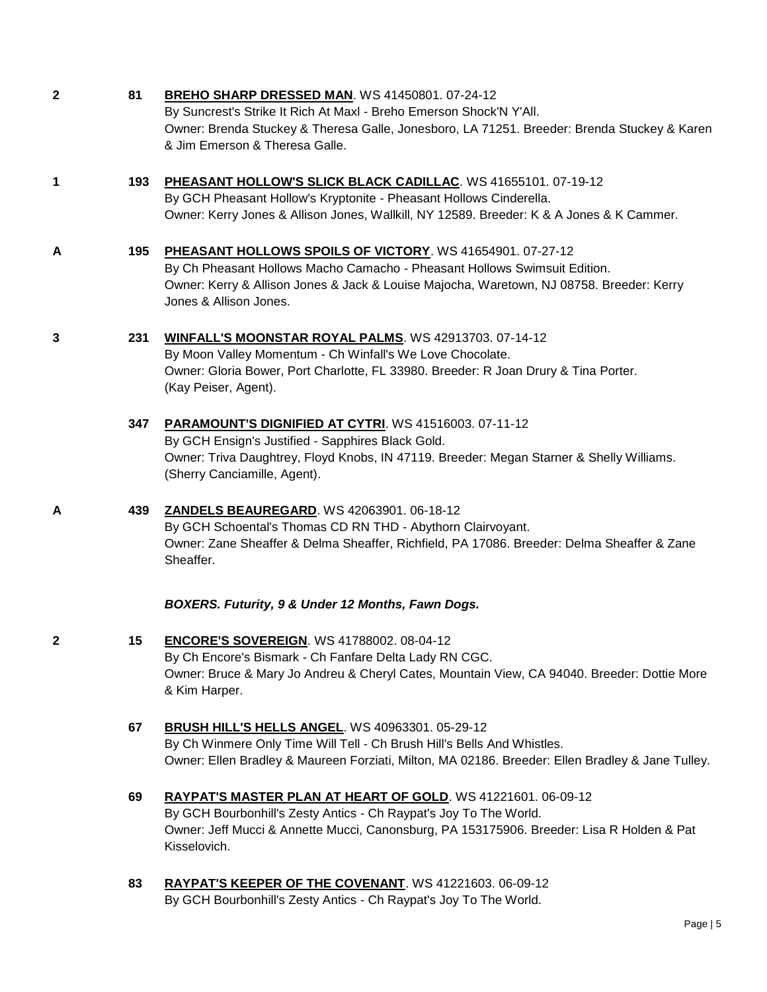| $\mathbf{2}$ | 81  | BREHO SHARP DRESSED MAN. WS 41450801. 07-24-12<br>By Suncrest's Strike It Rich At Maxl - Breho Emerson Shock'N Y'All.<br>Owner: Brenda Stuckey & Theresa Galle, Jonesboro, LA 71251. Breeder: Brenda Stuckey & Karen<br>& Jim Emerson & Theresa Galle.       |
|--------------|-----|--------------------------------------------------------------------------------------------------------------------------------------------------------------------------------------------------------------------------------------------------------------|
| $\mathbf 1$  | 193 | PHEASANT HOLLOW'S SLICK BLACK CADILLAC. WS 41655101. 07-19-12<br>By GCH Pheasant Hollow's Kryptonite - Pheasant Hollows Cinderella.<br>Owner: Kerry Jones & Allison Jones, Wallkill, NY 12589. Breeder: K & A Jones & K Cammer.                              |
| A            | 195 | PHEASANT HOLLOWS SPOILS OF VICTORY. WS 41654901. 07-27-12<br>By Ch Pheasant Hollows Macho Camacho - Pheasant Hollows Swimsuit Edition.<br>Owner: Kerry & Allison Jones & Jack & Louise Majocha, Waretown, NJ 08758. Breeder: Kerry<br>Jones & Allison Jones. |
| 3            | 231 | WINFALL'S MOONSTAR ROYAL PALMS. WS 42913703. 07-14-12<br>By Moon Valley Momentum - Ch Winfall's We Love Chocolate.<br>Owner: Gloria Bower, Port Charlotte, FL 33980. Breeder: R Joan Drury & Tina Porter.<br>(Kay Peiser, Agent).                            |
|              | 347 | PARAMOUNT'S DIGNIFIED AT CYTRI. WS 41516003. 07-11-12<br>By GCH Ensign's Justified - Sapphires Black Gold.<br>Owner: Triva Daughtrey, Floyd Knobs, IN 47119. Breeder: Megan Starner & Shelly Williams.<br>(Sherry Canciamille, Agent).                       |
| A            | 439 | <b>ZANDELS BEAUREGARD. WS 42063901. 06-18-12</b><br>By GCH Schoental's Thomas CD RN THD - Abythorn Clairvoyant.<br>Owner: Zane Sheaffer & Delma Sheaffer, Richfield, PA 17086. Breeder: Delma Sheaffer & Zane<br>Sheaffer.                                   |
|              |     | BOXERS. Futurity, 9 & Under 12 Months, Fawn Dogs.                                                                                                                                                                                                            |
| 2            | 15  | <b>ENCORE'S SOVEREIGN. WS 41788002. 08-04-12</b><br>By Ch Encore's Bismark - Ch Fanfare Delta Lady RN CGC.<br>Owner: Bruce & Mary Jo Andreu & Cheryl Cates, Mountain View, CA 94040. Breeder: Dottie More<br>& Kim Harper.                                   |
|              | 67  | <b>BRUSH HILL'S HELLS ANGEL. WS 40963301. 05-29-12</b><br>By Ch Winmere Only Time Will Tell - Ch Brush Hill's Bells And Whistles.<br>Owner: Ellen Bradley & Maureen Forziati, Milton, MA 02186. Breeder: Ellen Bradley & Jane Tulley.                        |
|              | 69  | RAYPAT'S MASTER PLAN AT HEART OF GOLD. WS 41221601. 06-09-12<br>By GCH Bourbonhill's Zesty Antics - Ch Raypat's Joy To The World.<br>Owner: Jeff Mucci & Annette Mucci, Canonsburg, PA 153175906. Breeder: Lisa R Holden & Pat<br>Kisselovich.               |
|              | 83  | RAYPAT'S KEEPER OF THE COVENANT. WS 41221603. 06-09-12                                                                                                                                                                                                       |

By GCH Bourbonhill's Zesty Antics - Ch Raypat's Joy To The World.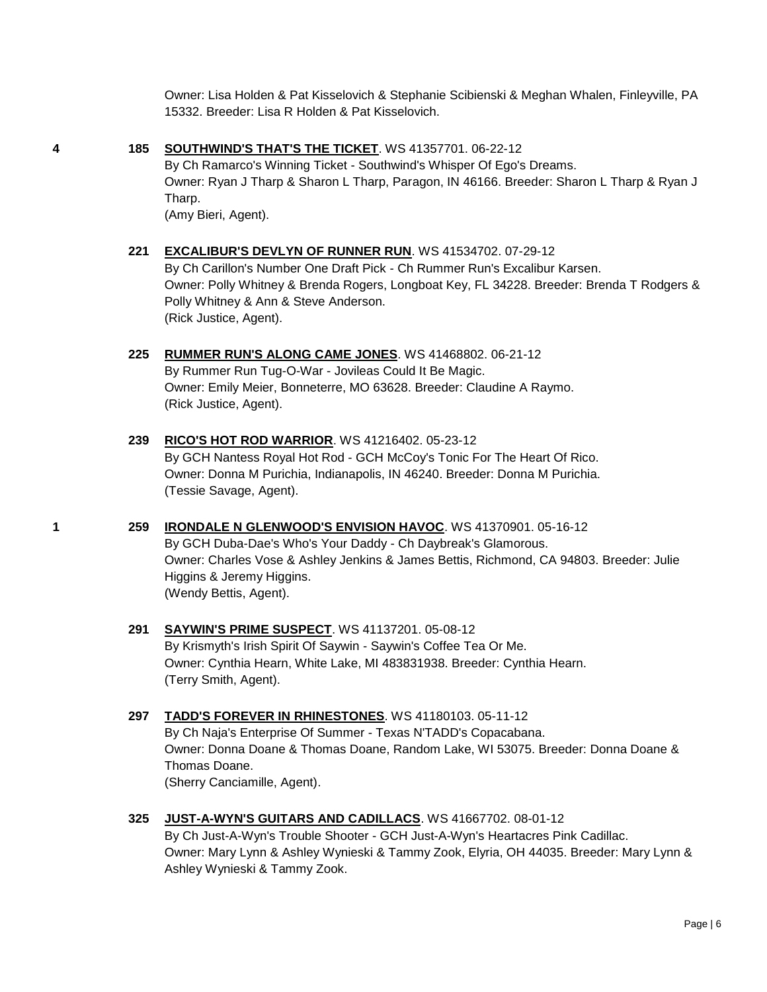Owner: Lisa Holden & Pat Kisselovich & Stephanie Scibienski & Meghan Whalen, Finleyville, PA 15332. Breeder: Lisa R Holden & Pat Kisselovich.

**4 185 [SOUTHWIND'S THAT'S THE TICKET](http://www.infodog.com/files/bdogrsl1.prg;makc=WS%2041357701;mdog=Southwind_s_That_s_The_Ticket;wins=all)**. WS 41357701. 06-22-12

By Ch Ramarco's Winning Ticket - Southwind's Whisper Of Ego's Dreams. Owner: Ryan J Tharp & Sharon L Tharp, Paragon, IN 46166. Breeder: Sharon L Tharp & Ryan J Tharp. (Amy Bieri, Agent).

- **221 [EXCALIBUR'S DEVLYN OF RUNNER RUN](http://www.infodog.com/files/bdogrsl1.prg;makc=WS%2041534702;mdog=Excalibur_s_Devlyn_Of_Runner_Run;wins=all)**. WS 41534702. 07-29-12 By Ch Carillon's Number One Draft Pick - Ch Rummer Run's Excalibur Karsen. Owner: Polly Whitney & Brenda Rogers, Longboat Key, FL 34228. Breeder: Brenda T Rodgers & Polly Whitney & Ann & Steve Anderson. (Rick Justice, Agent).
- **225 [RUMMER RUN'S ALONG CAME JONES](http://www.infodog.com/files/bdogrsl1.prg;makc=WS%2041468802;mdog=Rummer_Run_s_Along_Came_Jones;wins=all)**. WS 41468802. 06-21-12 By Rummer Run Tug-O-War - Jovileas Could It Be Magic. Owner: Emily Meier, Bonneterre, MO 63628. Breeder: Claudine A Raymo. (Rick Justice, Agent).
- **239 [RICO'S HOT ROD WARRIOR](http://www.infodog.com/files/bdogrsl1.prg;makc=WS%2041216402;mdog=Rico_s_Hot_Rod_Warrior;wins=all)**. WS 41216402. 05-23-12 By GCH Nantess Royal Hot Rod - GCH McCoy's Tonic For The Heart Of Rico. Owner: Donna M Purichia, Indianapolis, IN 46240. Breeder: Donna M Purichia. (Tessie Savage, Agent).
- **1 259 [IRONDALE N GLENWOOD'S ENVISION HAVOC](http://www.infodog.com/files/bdogrsl1.prg;makc=WS%2041370901;mdog=Irondale_N_Glenwood_s_Envision_Havoc;wins=all)**. WS 41370901. 05-16-12 By GCH Duba-Dae's Who's Your Daddy - Ch Daybreak's Glamorous. Owner: Charles Vose & Ashley Jenkins & James Bettis, Richmond, CA 94803. Breeder: Julie Higgins & Jeremy Higgins. (Wendy Bettis, Agent).
	- **291 [SAYWIN'S PRIME SUSPECT](http://www.infodog.com/files/bdogrsl1.prg;makc=WS%2041137201;mdog=Saywin_s_Prime_Suspect;wins=all)**. WS 41137201. 05-08-12 By Krismyth's Irish Spirit Of Saywin - Saywin's Coffee Tea Or Me. Owner: Cynthia Hearn, White Lake, MI 483831938. Breeder: Cynthia Hearn. (Terry Smith, Agent).

# **297 [TADD'S FOREVER IN RHINESTONES](http://www.infodog.com/files/bdogrsl1.prg;makc=WS%2041180103;mdog=TADD_s_Forever_In_Rhinestones;wins=all)**. WS 41180103. 05-11-12 By Ch Naja's Enterprise Of Summer - Texas N'TADD's Copacabana. Owner: Donna Doane & Thomas Doane, Random Lake, WI 53075. Breeder: Donna Doane & Thomas Doane.

(Sherry Canciamille, Agent).

**325 [JUST-A-WYN'S GUITARS AND CADILLACS](http://www.infodog.com/files/bdogrsl1.prg;makc=WS%2041667702;mdog=Just-A-Wyn_s_Guitars_And_Cadillacs;wins=all)**. WS 41667702. 08-01-12

By Ch Just-A-Wyn's Trouble Shooter - GCH Just-A-Wyn's Heartacres Pink Cadillac. Owner: Mary Lynn & Ashley Wynieski & Tammy Zook, Elyria, OH 44035. Breeder: Mary Lynn & Ashley Wynieski & Tammy Zook.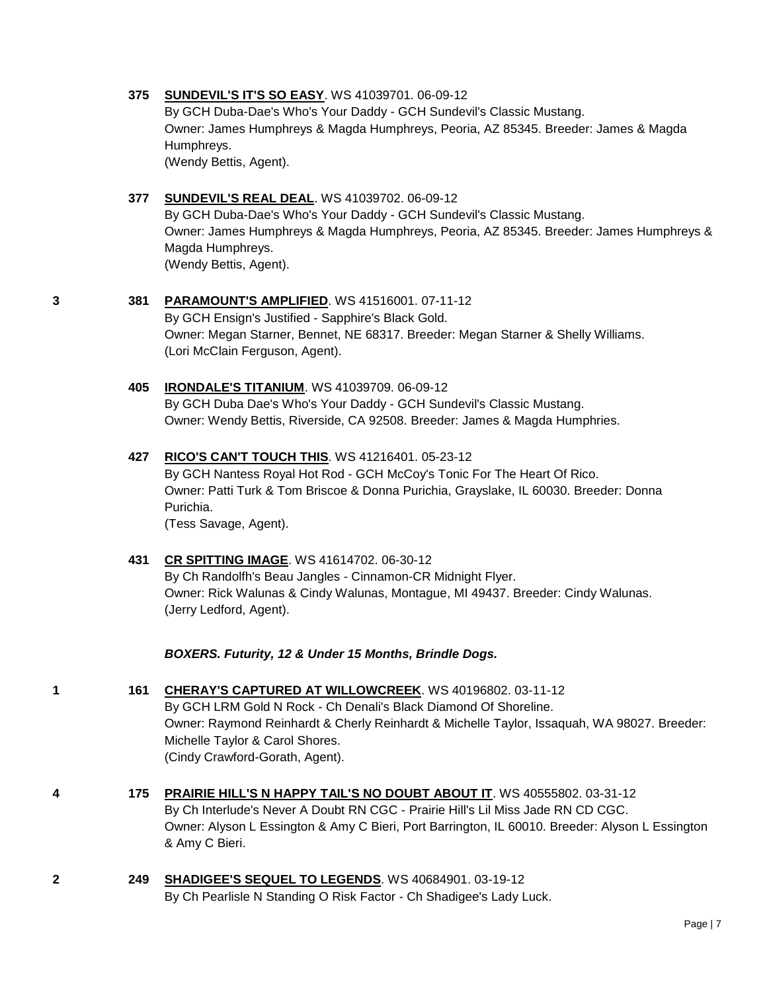#### **375 [SUNDEVIL'S IT'S SO EASY](http://www.infodog.com/files/bdogrsl1.prg;makc=WS%2041039701;mdog=Sundevil_s_It_s_So_Easy;wins=all)**. WS 41039701. 06-09-12

By GCH Duba-Dae's Who's Your Daddy - GCH Sundevil's Classic Mustang. Owner: James Humphreys & Magda Humphreys, Peoria, AZ 85345. Breeder: James & Magda Humphreys. (Wendy Bettis, Agent).

### **377 [SUNDEVIL'S REAL DEAL](http://www.infodog.com/files/bdogrsl1.prg;makc=WS%2041039702;mdog=Sundevil_s_Real_Deal;wins=all)**. WS 41039702. 06-09-12

By GCH Duba-Dae's Who's Your Daddy - GCH Sundevil's Classic Mustang. Owner: James Humphreys & Magda Humphreys, Peoria, AZ 85345. Breeder: James Humphreys & Magda Humphreys. (Wendy Bettis, Agent).

### **3 381 [PARAMOUNT'S AMPLIFIED](http://www.infodog.com/files/bdogrsl1.prg;makc=WS%2041516001;mdog=Paramount_s_Amplified;wins=all)**. WS 41516001. 07-11-12

By GCH Ensign's Justified - Sapphire's Black Gold. Owner: Megan Starner, Bennet, NE 68317. Breeder: Megan Starner & Shelly Williams. (Lori McClain Ferguson, Agent).

### **405 [IRONDALE'S TITANIUM](http://www.infodog.com/files/bdogrsl1.prg;makc=WS%2041039709;mdog=Irondale_s_Titanium;wins=all)**. WS 41039709. 06-09-12

By GCH Duba Dae's Who's Your Daddy - GCH Sundevil's Classic Mustang. Owner: Wendy Bettis, Riverside, CA 92508. Breeder: James & Magda Humphries.

#### **427 [RICO'S CAN'T TOUCH THIS](http://www.infodog.com/files/bdogrsl1.prg;makc=WS%2041216401;mdog=Rico_s_Can_t_Touch_This;wins=all)**. WS 41216401. 05-23-12

By GCH Nantess Royal Hot Rod - GCH McCoy's Tonic For The Heart Of Rico. Owner: Patti Turk & Tom Briscoe & Donna Purichia, Grayslake, IL 60030. Breeder: Donna Purichia.

(Tess Savage, Agent).

### **431 [CR SPITTING IMAGE](http://www.infodog.com/files/bdogrsl1.prg;makc=WS%2041614702;mdog=CR_Spitting_Image;wins=all)**. WS 41614702. 06-30-12

By Ch Randolfh's Beau Jangles - Cinnamon-CR Midnight Flyer. Owner: Rick Walunas & Cindy Walunas, Montague, MI 49437. Breeder: Cindy Walunas. (Jerry Ledford, Agent).

*BOXERS. Futurity, 12 & Under 15 Months, Brindle Dogs.*

- **1 161 [CHERAY'S CAPTURED AT WILLOWCREEK](http://www.infodog.com/files/bdogrsl1.prg;makc=WS%2040196802;mdog=Cheray_s_Captured_At_Willowcreek;wins=all)**. WS 40196802. 03-11-12 By GCH LRM Gold N Rock - Ch Denali's Black Diamond Of Shoreline. Owner: Raymond Reinhardt & Cherly Reinhardt & Michelle Taylor, Issaquah, WA 98027. Breeder: Michelle Taylor & Carol Shores. (Cindy Crawford-Gorath, Agent).
- **4 175 [PRAIRIE HILL'S N HAPPY TAIL'S NO DOUBT ABOUT IT](http://www.infodog.com/files/bdogrsl1.prg;makc=WS%2040555802;mdog=Prairie_Hill_s_N_Happy_Tail_s_No_Doubt_About_It;wins=all)**. WS 40555802. 03-31-12 By Ch Interlude's Never A Doubt RN CGC - Prairie Hill's Lil Miss Jade RN CD CGC. Owner: Alyson L Essington & Amy C Bieri, Port Barrington, IL 60010. Breeder: Alyson L Essington & Amy C Bieri.
- **2 249 [SHADIGEE'S SEQUEL TO LEGENDS](http://www.infodog.com/files/bdogrsl1.prg;makc=WS%2040684901;mdog=Shadigee_s_Sequel_To_Legends;wins=all)**. WS 40684901. 03-19-12 By Ch Pearlisle N Standing O Risk Factor - Ch Shadigee's Lady Luck.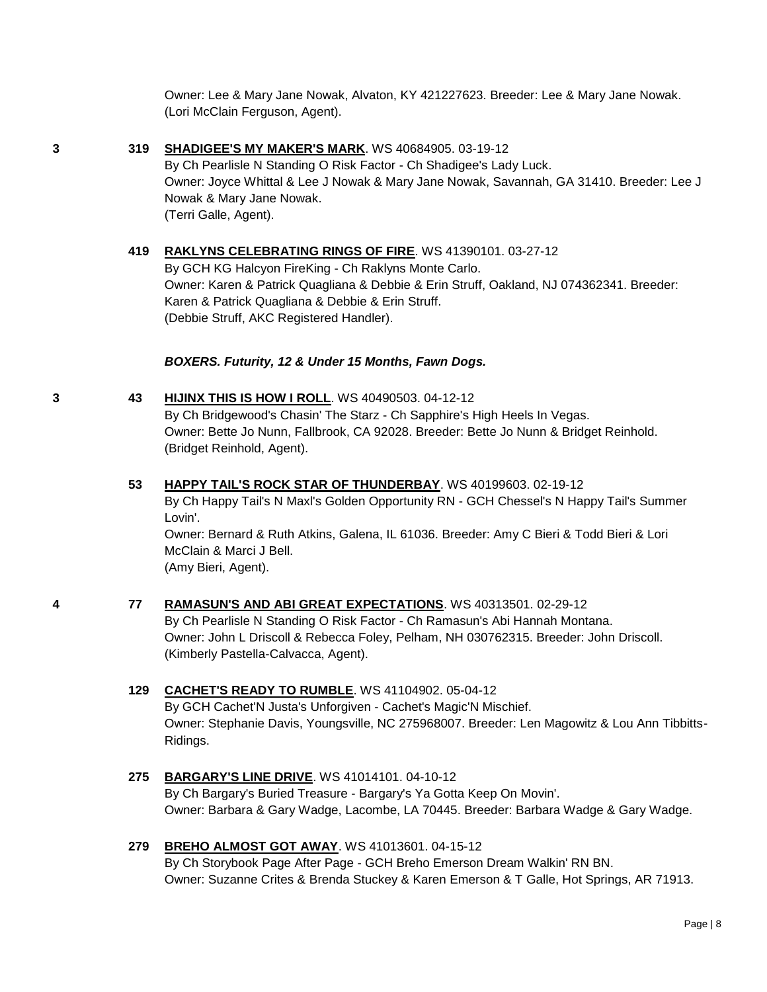Owner: Lee & Mary Jane Nowak, Alvaton, KY 421227623. Breeder: Lee & Mary Jane Nowak. (Lori McClain Ferguson, Agent).

**3 319 [SHADIGEE'S MY MAKER'S MARK](http://www.infodog.com/files/bdogrsl1.prg;makc=WS%2040684905;mdog=Shadigee_s_My_Maker_s_Mark;wins=all)**. WS 40684905. 03-19-12 By Ch Pearlisle N Standing O Risk Factor - Ch Shadigee's Lady Luck. Owner: Joyce Whittal & Lee J Nowak & Mary Jane Nowak, Savannah, GA 31410. Breeder: Lee J Nowak & Mary Jane Nowak. (Terri Galle, Agent).

> **419 [RAKLYNS CELEBRATING RINGS OF FIRE](http://www.infodog.com/files/bdogrsl1.prg;makc=WS%2041390101;mdog=Raklyns_Celebrating_Rings_Of_Fire;wins=all)**. WS 41390101. 03-27-12 By GCH KG Halcyon FireKing - Ch Raklyns Monte Carlo. Owner: Karen & Patrick Quagliana & Debbie & Erin Struff, Oakland, NJ 074362341. Breeder: Karen & Patrick Quagliana & Debbie & Erin Struff. (Debbie Struff, AKC Registered Handler).

#### *BOXERS. Futurity, 12 & Under 15 Months, Fawn Dogs.*

- **3 43 [HIJINX THIS IS HOW I ROLL](http://www.infodog.com/files/bdogrsl1.prg;makc=WS%2040490503;mdog=HiJinx_This_Is_How_I_Roll;wins=all)**. WS 40490503. 04-12-12 By Ch Bridgewood's Chasin' The Starz - Ch Sapphire's High Heels In Vegas. Owner: Bette Jo Nunn, Fallbrook, CA 92028. Breeder: Bette Jo Nunn & Bridget Reinhold. (Bridget Reinhold, Agent).
	- **53 [HAPPY TAIL'S ROCK STAR OF THUNDERBAY](http://www.infodog.com/files/bdogrsl1.prg;makc=WS%2040199603;mdog=Happy_Tail_s_Rock_Star_Of_Thunderbay;wins=all)**. WS 40199603. 02-19-12 By Ch Happy Tail's N Maxl's Golden Opportunity RN - GCH Chessel's N Happy Tail's Summer Lovin'. Owner: Bernard & Ruth Atkins, Galena, IL 61036. Breeder: Amy C Bieri & Todd Bieri & Lori McClain & Marci J Bell. (Amy Bieri, Agent).
- **4 77 [RAMASUN'S AND ABI GREAT EXPECTATIONS](http://www.infodog.com/files/bdogrsl1.prg;makc=WS%2040313501;mdog=Ramasun_s_And_Abi_Great_Expectations;wins=all)**. WS 40313501. 02-29-12 By Ch Pearlisle N Standing O Risk Factor - Ch Ramasun's Abi Hannah Montana. Owner: John L Driscoll & Rebecca Foley, Pelham, NH 030762315. Breeder: John Driscoll. (Kimberly Pastella-Calvacca, Agent).
	- **129 [CACHET'S READY TO RUMBLE](http://www.infodog.com/files/bdogrsl1.prg;makc=WS%2041104902;mdog=Cachet_s_Ready_To_Rumble;wins=all)**. WS 41104902. 05-04-12 By GCH Cachet'N Justa's Unforgiven - Cachet's Magic'N Mischief. Owner: Stephanie Davis, Youngsville, NC 275968007. Breeder: Len Magowitz & Lou Ann Tibbitts-Ridings.
	- **275 [BARGARY'S LINE DRIVE](http://www.infodog.com/files/bdogrsl1.prg;makc=WS%2041014101;mdog=Bargary_s_Line_Drive;wins=all)**. WS 41014101. 04-10-12 By Ch Bargary's Buried Treasure - Bargary's Ya Gotta Keep On Movin'. Owner: Barbara & Gary Wadge, Lacombe, LA 70445. Breeder: Barbara Wadge & Gary Wadge.
	- **279 [BREHO ALMOST GOT AWAY](http://www.infodog.com/files/bdogrsl1.prg;makc=WS%2041013601;mdog=Breho_Almost_Got_Away;wins=all)**. WS 41013601. 04-15-12 By Ch Storybook Page After Page - GCH Breho Emerson Dream Walkin' RN BN. Owner: Suzanne Crites & Brenda Stuckey & Karen Emerson & T Galle, Hot Springs, AR 71913.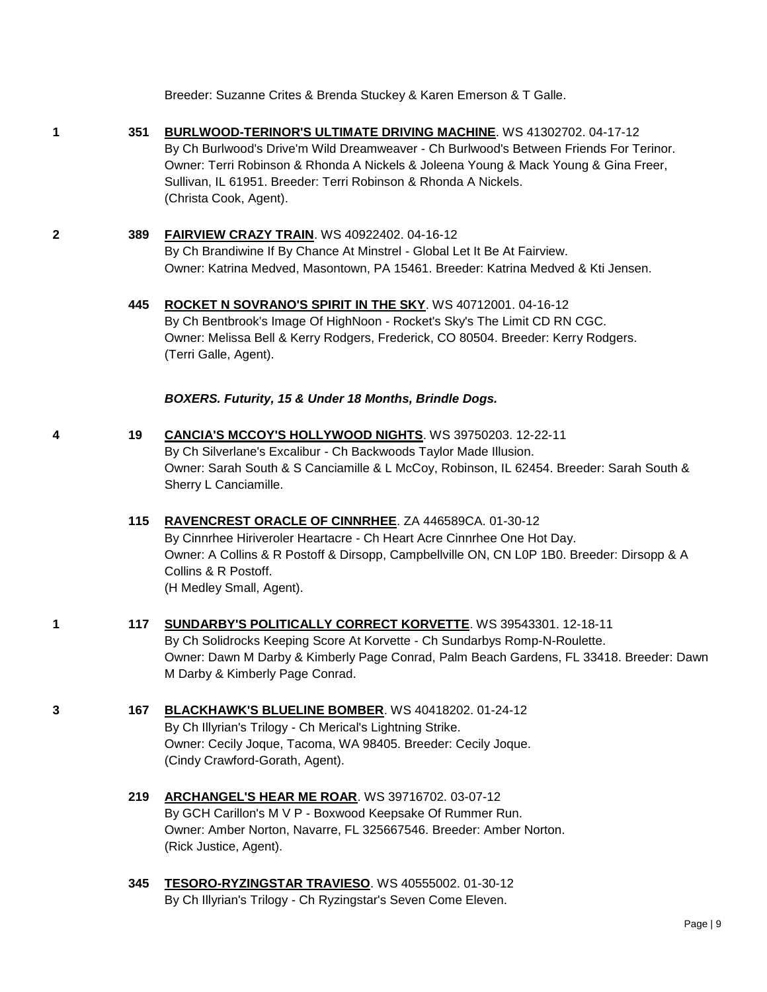Breeder: Suzanne Crites & Brenda Stuckey & Karen Emerson & T Galle.

- 
- **1 351 [BURLWOOD-TERINOR'S ULTIMATE DRIVING MACHINE](http://www.infodog.com/files/bdogrsl1.prg;makc=WS%2041302702;mdog=Burlwood-Terinor_s_Ultimate_Driving_Machine;wins=all)**. WS 41302702. 04-17-12 By Ch Burlwood's Drive'm Wild Dreamweaver - Ch Burlwood's Between Friends For Terinor. Owner: Terri Robinson & Rhonda A Nickels & Joleena Young & Mack Young & Gina Freer, Sullivan, IL 61951. Breeder: Terri Robinson & Rhonda A Nickels. (Christa Cook, Agent).
- **2 389 [FAIRVIEW CRAZY TRAIN](http://www.infodog.com/files/bdogrsl1.prg;makc=WS%2040922402;mdog=Fairview_Crazy_Train;wins=all)**. WS 40922402. 04-16-12 By Ch Brandiwine If By Chance At Minstrel - Global Let It Be At Fairview. Owner: Katrina Medved, Masontown, PA 15461. Breeder: Katrina Medved & Kti Jensen.
	- **445 [ROCKET N SOVRANO'S SPIRIT IN THE SKY](http://www.infodog.com/files/bdogrsl1.prg;makc=WS%2040712001;mdog=Rocket_N_Sovrano_s_Spirit_In_The_Sky;wins=all)**. WS 40712001. 04-16-12 By Ch Bentbrook's Image Of HighNoon - Rocket's Sky's The Limit CD RN CGC. Owner: Melissa Bell & Kerry Rodgers, Frederick, CO 80504. Breeder: Kerry Rodgers. (Terri Galle, Agent).

*BOXERS. Futurity, 15 & Under 18 Months, Brindle Dogs.*

- **4 19 [CANCIA'S MCCOY'S HOLLYWOOD NIGHTS](http://www.infodog.com/files/bdogrsl1.prg;makc=WS%2039750203;mdog=Cancia_s_Mccoy_s_Hollywood_Nights;wins=all)**. WS 39750203. 12-22-11 By Ch Silverlane's Excalibur - Ch Backwoods Taylor Made Illusion. Owner: Sarah South & S Canciamille & L McCoy, Robinson, IL 62454. Breeder: Sarah South & Sherry L Canciamille.
	- **115 [RAVENCREST ORACLE OF CINNRHEE](http://www.infodog.com/files/bdogrsl1.prg;makc=ZA%20446589CA;mdog=Ravencrest_Oracle_Of_Cinnrhee;wins=all)**. ZA 446589CA. 01-30-12 By Cinnrhee Hiriveroler Heartacre - Ch Heart Acre Cinnrhee One Hot Day. Owner: A Collins & R Postoff & Dirsopp, Campbellville ON, CN L0P 1B0. Breeder: Dirsopp & A Collins & R Postoff. (H Medley Small, Agent).
- **1 117 [SUNDARBY'S POLITICALLY CORRECT KORVETTE](http://www.infodog.com/files/bdogrsl1.prg;makc=WS%2039543301;mdog=Sundarby_s_Politically_Correct_Korvette;wins=all)**. WS 39543301. 12-18-11 By Ch Solidrocks Keeping Score At Korvette - Ch Sundarbys Romp-N-Roulette. Owner: Dawn M Darby & Kimberly Page Conrad, Palm Beach Gardens, FL 33418. Breeder: Dawn M Darby & Kimberly Page Conrad.
- **3 167 [BLACKHAWK'S BLUELINE BOMBER](http://www.infodog.com/files/bdogrsl1.prg;makc=WS%2040418202;mdog=Blackhawk_s_Blueline_Bomber;wins=all)**. WS 40418202. 01-24-12 By Ch Illyrian's Trilogy - Ch Merical's Lightning Strike. Owner: Cecily Joque, Tacoma, WA 98405. Breeder: Cecily Joque. (Cindy Crawford-Gorath, Agent).
	- **219 [ARCHANGEL'S HEAR ME ROAR](http://www.infodog.com/files/bdogrsl1.prg;makc=WS%2039716702;mdog=Archangel_s_Hear_Me_Roar;wins=all)**. WS 39716702. 03-07-12 By GCH Carillon's M V P - Boxwood Keepsake Of Rummer Run. Owner: Amber Norton, Navarre, FL 325667546. Breeder: Amber Norton. (Rick Justice, Agent).
	- **345 [TESORO-RYZINGSTAR TRAVIESO](http://www.infodog.com/files/bdogrsl1.prg;makc=WS%2040555002;mdog=Tesoro-Ryzingstar_Travieso;wins=all)**. WS 40555002. 01-30-12 By Ch Illyrian's Trilogy - Ch Ryzingstar's Seven Come Eleven.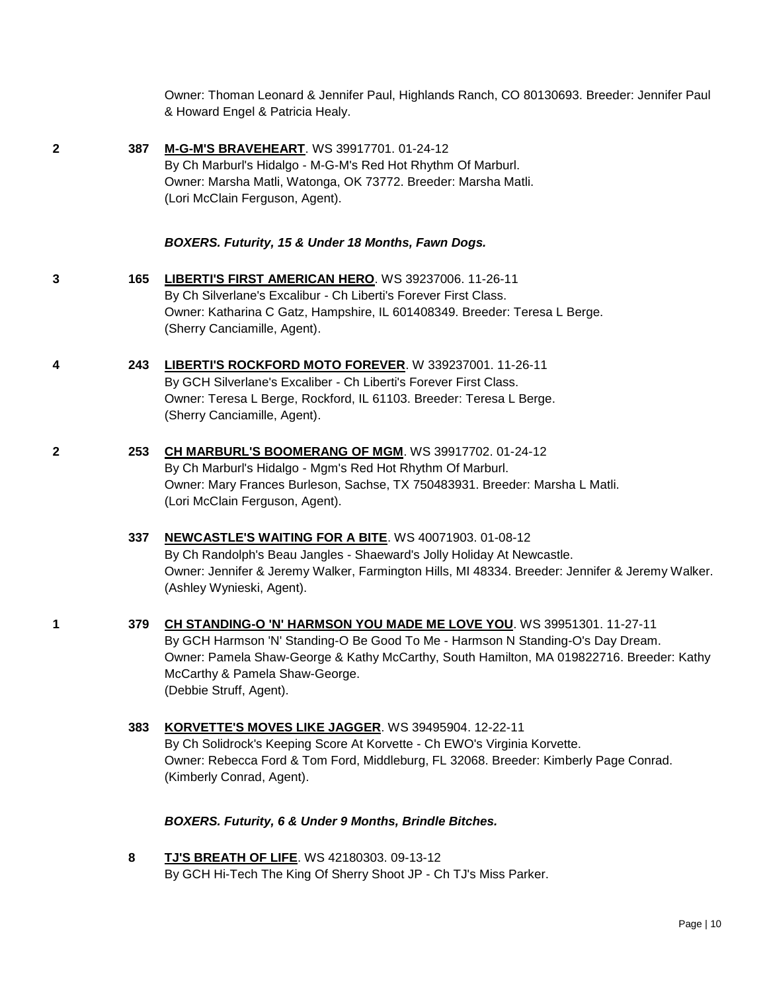Owner: Thoman Leonard & Jennifer Paul, Highlands Ranch, CO 80130693. Breeder: Jennifer Paul & Howard Engel & Patricia Healy.

**2 387 [M-G-M'S BRAVEHEART](http://www.infodog.com/files/bdogrsl1.prg;makc=WS%2039917701;mdog=M-G-M_s_Braveheart;wins=all)**. WS 39917701. 01-24-12 By Ch Marburl's Hidalgo - M-G-M's Red Hot Rhythm Of Marburl. Owner: Marsha Matli, Watonga, OK 73772. Breeder: Marsha Matli. (Lori McClain Ferguson, Agent).

*BOXERS. Futurity, 15 & Under 18 Months, Fawn Dogs.*

- **3 165 [LIBERTI'S FIRST AMERICAN HERO](http://www.infodog.com/files/bdogrsl1.prg;makc=WS%2039237006;mdog=Liberti_s_First_American_Hero;wins=all)**. WS 39237006. 11-26-11 By Ch Silverlane's Excalibur - Ch Liberti's Forever First Class. Owner: Katharina C Gatz, Hampshire, IL 601408349. Breeder: Teresa L Berge. (Sherry Canciamille, Agent).
- **4 243 [LIBERTI'S ROCKFORD MOTO FOREVER](http://www.infodog.com/files/bdogrsl1.prg;makc=W%20339237001;mdog=Liberti_s_Rockford_Moto_Forever;wins=all)**. W 339237001. 11-26-11 By GCH Silverlane's Excaliber - Ch Liberti's Forever First Class. Owner: Teresa L Berge, Rockford, IL 61103. Breeder: Teresa L Berge. (Sherry Canciamille, Agent).
- **2 253 [CH MARBURL'S BOOMERANG OF MGM](http://www.infodog.com/files/bdogrsl1.prg;makc=WS%2039917702;mdog=Ch_Marburl_s_Boomerang_Of_MGM;wins=all)**. WS 39917702. 01-24-12 By Ch Marburl's Hidalgo - Mgm's Red Hot Rhythm Of Marburl. Owner: Mary Frances Burleson, Sachse, TX 750483931. Breeder: Marsha L Matli. (Lori McClain Ferguson, Agent).
	- **337 [NEWCASTLE'S WAITING FOR A BITE](http://www.infodog.com/files/bdogrsl1.prg;makc=WS%2040071903;mdog=Newcastle_s_Waiting_For_A_Bite;wins=all)**. WS 40071903. 01-08-12 By Ch Randolph's Beau Jangles - Shaeward's Jolly Holiday At Newcastle. Owner: Jennifer & Jeremy Walker, Farmington Hills, MI 48334. Breeder: Jennifer & Jeremy Walker. (Ashley Wynieski, Agent).
- **1 379 [CH STANDING-O 'N' HARMSON YOU MADE ME LOVE YOU](http://www.infodog.com/files/bdogrsl1.prg;makc=WS%2039951301;mdog=Ch_Standing-O__N__Harmson_You_Made_Me_Love_You;wins=all)**. WS 39951301. 11-27-11 By GCH Harmson 'N' Standing-O Be Good To Me - Harmson N Standing-O's Day Dream. Owner: Pamela Shaw-George & Kathy McCarthy, South Hamilton, MA 019822716. Breeder: Kathy McCarthy & Pamela Shaw-George. (Debbie Struff, Agent).
	- **383 [KORVETTE'S MOVES LIKE JAGGER](http://www.infodog.com/files/bdogrsl1.prg;makc=WS%2039495904;mdog=Korvette_s_Moves_Like_Jagger;wins=all)**. WS 39495904. 12-22-11 By Ch Solidrock's Keeping Score At Korvette - Ch EWO's Virginia Korvette. Owner: Rebecca Ford & Tom Ford, Middleburg, FL 32068. Breeder: Kimberly Page Conrad. (Kimberly Conrad, Agent).

*BOXERS. Futurity, 6 & Under 9 Months, Brindle Bitches.*

**8 [TJ'S BREATH OF LIFE](http://www.infodog.com/files/bdogrsl1.prg;makc=WS%2042180303;mdog=TJ_s_Breath_Of_Life;wins=all)**. WS 42180303. 09-13-12 By GCH Hi-Tech The King Of Sherry Shoot JP - Ch TJ's Miss Parker.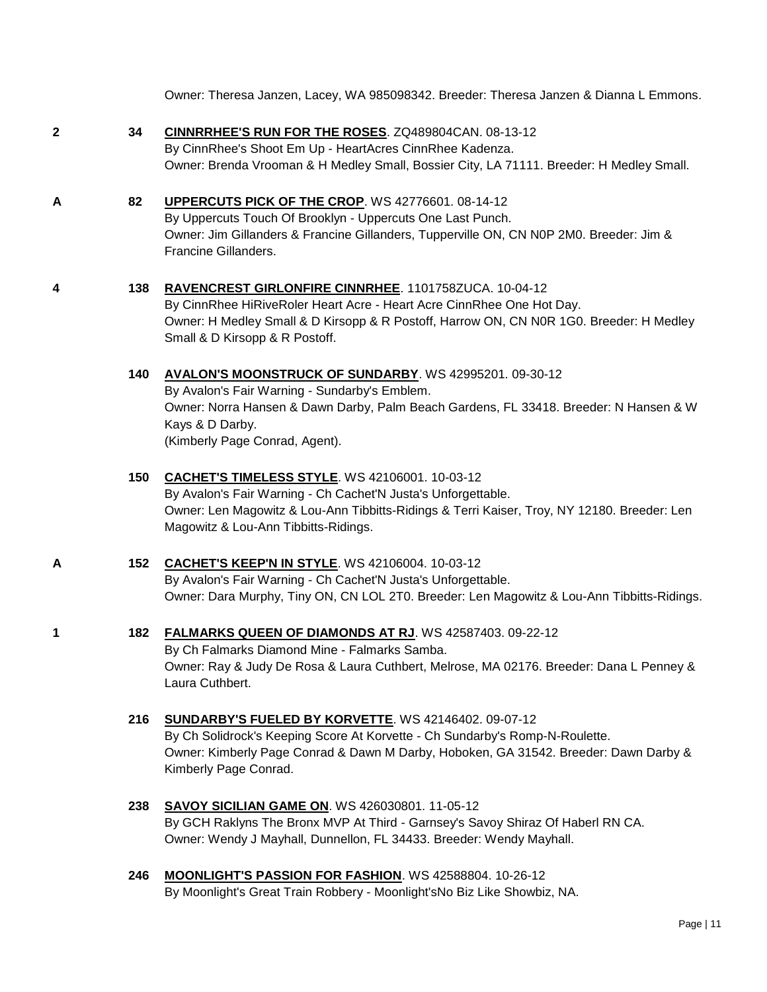Owner: Theresa Janzen, Lacey, WA 985098342. Breeder: Theresa Janzen & Dianna L Emmons.

**2 34 [CINNRRHEE'S RUN FOR THE ROSES](http://www.infodog.com/files/bdogrsl1.prg;makc=ZQ489804CAN;mdog=CinnrRhee_s_Run_For_The_Roses;wins=all)**. ZQ489804CAN. 08-13-12 By CinnRhee's Shoot Em Up - HeartAcres CinnRhee Kadenza. Owner: Brenda Vrooman & H Medley Small, Bossier City, LA 71111. Breeder: H Medley Small.

**A 82 [UPPERCUTS PICK OF THE CROP](http://www.infodog.com/files/bdogrsl1.prg;makc=WS%2042776601;mdog=Uppercuts_Pick_Of_The_Crop;wins=all)**. WS 42776601. 08-14-12 By Uppercuts Touch Of Brooklyn - Uppercuts One Last Punch. Owner: Jim Gillanders & Francine Gillanders, Tupperville ON, CN N0P 2M0. Breeder: Jim & Francine Gillanders.

# **4 138 [RAVENCREST GIRLONFIRE CINNRHEE](http://www.infodog.com/files/bdogrsl1.prg;makc=1101758ZUCA;mdog=Ravencrest_GirlOnFire_CinnRhee;wins=all)**. 1101758ZUCA. 10-04-12

By CinnRhee HiRiveRoler Heart Acre - Heart Acre CinnRhee One Hot Day. Owner: H Medley Small & D Kirsopp & R Postoff, Harrow ON, CN N0R 1G0. Breeder: H Medley Small & D Kirsopp & R Postoff.

**140 [AVALON'S MOONSTRUCK OF SUNDARBY](http://www.infodog.com/files/bdogrsl1.prg;makc=WS%2042995201;mdog=Avalon_s_Moonstruck_Of_Sundarby;wins=all)**. WS 42995201. 09-30-12

By Avalon's Fair Warning - Sundarby's Emblem. Owner: Norra Hansen & Dawn Darby, Palm Beach Gardens, FL 33418. Breeder: N Hansen & W Kays & D Darby. (Kimberly Page Conrad, Agent).

# **150 [CACHET'S TIMELESS STYLE](http://www.infodog.com/files/bdogrsl1.prg;makc=WS%2042106001;mdog=Cachet_s_Timeless_Style;wins=all)**. WS 42106001. 10-03-12 By Avalon's Fair Warning - Ch Cachet'N Justa's Unforgettable. Owner: Len Magowitz & Lou-Ann Tibbitts-Ridings & Terri Kaiser, Troy, NY 12180. Breeder: Len Magowitz & Lou-Ann Tibbitts-Ridings.

**A 152 [CACHET'S KEEP'N IN STYLE](http://www.infodog.com/files/bdogrsl1.prg;makc=WS%2042106004;mdog=Cachet_s_Keep_N_In_Style;wins=all)**. WS 42106004. 10-03-12 By Avalon's Fair Warning - Ch Cachet'N Justa's Unforgettable. Owner: Dara Murphy, Tiny ON, CN LOL 2T0. Breeder: Len Magowitz & Lou-Ann Tibbitts-Ridings.

### **1 182 [FALMARKS QUEEN OF DIAMONDS AT RJ](http://www.infodog.com/files/bdogrsl1.prg;makc=WS%2042587403;mdog=Falmarks_Queen_Of_Diamonds_At_RJ;wins=all)**. WS 42587403. 09-22-12

By Ch Falmarks Diamond Mine - Falmarks Samba. Owner: Ray & Judy De Rosa & Laura Cuthbert, Melrose, MA 02176. Breeder: Dana L Penney & Laura Cuthbert.

- **216 [SUNDARBY'S FUELED BY KORVETTE](http://www.infodog.com/files/bdogrsl1.prg;makc=WS%2042146402;mdog=Sundarby_s_Fueled_By_Korvette;wins=all)**. WS 42146402. 09-07-12 By Ch Solidrock's Keeping Score At Korvette - Ch Sundarby's Romp-N-Roulette. Owner: Kimberly Page Conrad & Dawn M Darby, Hoboken, GA 31542. Breeder: Dawn Darby & Kimberly Page Conrad.
- **238 [SAVOY SICILIAN GAME ON](http://www.infodog.com/files/bdogrsl1.prg;makc=WS%20426030801;mdog=Savoy_Sicilian_Game_On;wins=all)**. WS 426030801. 11-05-12 By GCH Raklyns The Bronx MVP At Third - Garnsey's Savoy Shiraz Of Haberl RN CA. Owner: Wendy J Mayhall, Dunnellon, FL 34433. Breeder: Wendy Mayhall.
- **246 [MOONLIGHT'S PASSION FOR FASHION](http://www.infodog.com/files/bdogrsl1.prg;makc=WS%2042588804;mdog=Moonlight_s_Passion_For_Fashion;wins=all)**. WS 42588804. 10-26-12 By Moonlight's Great Train Robbery - Moonlight'sNo Biz Like Showbiz, NA.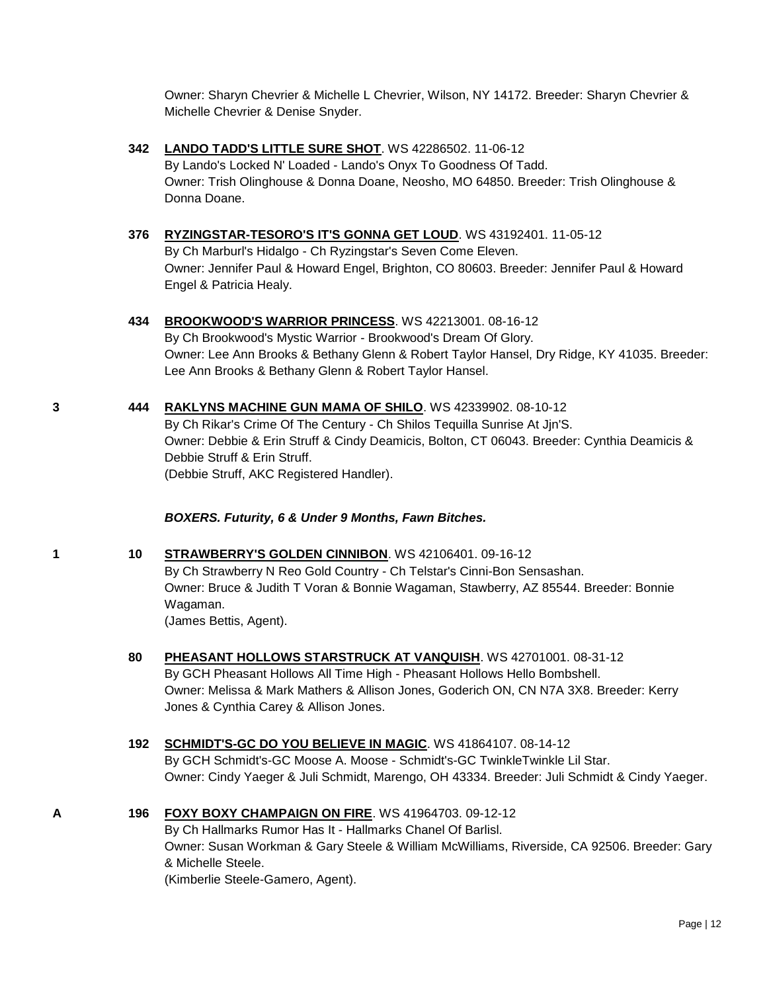Owner: Sharyn Chevrier & Michelle L Chevrier, Wilson, NY 14172. Breeder: Sharyn Chevrier & Michelle Chevrier & Denise Snyder.

- **342 [LANDO TADD'S LITTLE SURE SHOT](http://www.infodog.com/files/bdogrsl1.prg;makc=WS%2042286502;mdog=Lando_Tadd_s_Little_Sure_Shot;wins=all)**. WS 42286502. 11-06-12 By Lando's Locked N' Loaded - Lando's Onyx To Goodness Of Tadd. Owner: Trish Olinghouse & Donna Doane, Neosho, MO 64850. Breeder: Trish Olinghouse & Donna Doane.
- **376 [RYZINGSTAR-TESORO'S IT'S GONNA GET LOUD](http://www.infodog.com/files/bdogrsl1.prg;makc=WS%2043192401;mdog=Ryzingstar-Tesoro_s_It_s_Gonna_Get_Loud;wins=all)**. WS 43192401. 11-05-12 By Ch Marburl's Hidalgo - Ch Ryzingstar's Seven Come Eleven. Owner: Jennifer Paul & Howard Engel, Brighton, CO 80603. Breeder: Jennifer Paul & Howard Engel & Patricia Healy.

#### **434 [BROOKWOOD'S WARRIOR PRINCESS](http://www.infodog.com/files/bdogrsl1.prg;makc=WS%2042213001;mdog=Brookwood_s_Warrior_Princess;wins=all)**. WS 42213001. 08-16-12

By Ch Brookwood's Mystic Warrior - Brookwood's Dream Of Glory. Owner: Lee Ann Brooks & Bethany Glenn & Robert Taylor Hansel, Dry Ridge, KY 41035. Breeder: Lee Ann Brooks & Bethany Glenn & Robert Taylor Hansel.

#### **3 444 [RAKLYNS MACHINE GUN MAMA OF SHILO](http://www.infodog.com/files/bdogrsl1.prg;makc=WS%2042339902;mdog=Raklyns_Machine_Gun_Mama_Of_Shilo;wins=all)**. WS 42339902. 08-10-12

By Ch Rikar's Crime Of The Century - Ch Shilos Tequilla Sunrise At Jjn'S. Owner: Debbie & Erin Struff & Cindy Deamicis, Bolton, CT 06043. Breeder: Cynthia Deamicis & Debbie Struff & Erin Struff. (Debbie Struff, AKC Registered Handler).

#### *BOXERS. Futurity, 6 & Under 9 Months, Fawn Bitches.*

**1 10 [STRAWBERRY'S GOLDEN CINNIBON](http://www.infodog.com/files/bdogrsl1.prg;makc=WS%2042106401;mdog=Strawberry_s_Golden_Cinnibon;wins=all)**. WS 42106401. 09-16-12 By Ch Strawberry N Reo Gold Country - Ch Telstar's Cinni-Bon Sensashan. Owner: Bruce & Judith T Voran & Bonnie Wagaman, Stawberry, AZ 85544. Breeder: Bonnie Wagaman.

(James Bettis, Agent).

**80 [PHEASANT HOLLOWS STARSTRUCK AT VANQUISH](http://www.infodog.com/files/bdogrsl1.prg;makc=WS%2042701001;mdog=Pheasant_Hollows_Starstruck_At_Vanquish;wins=all)**. WS 42701001. 08-31-12 By GCH Pheasant Hollows All Time High - Pheasant Hollows Hello Bombshell.

Owner: Melissa & Mark Mathers & Allison Jones, Goderich ON, CN N7A 3X8. Breeder: Kerry Jones & Cynthia Carey & Allison Jones.

**192 [SCHMIDT'S-GC DO YOU BELIEVE IN MAGIC](http://www.infodog.com/files/bdogrsl1.prg;makc=WS%2041864107;mdog=Schmidt_s-GC_Do_You_Believe_In_Magic;wins=all)**. WS 41864107. 08-14-12

By GCH Schmidt's-GC Moose A. Moose - Schmidt's-GC TwinkleTwinkle Lil Star. Owner: Cindy Yaeger & Juli Schmidt, Marengo, OH 43334. Breeder: Juli Schmidt & Cindy Yaeger.

- **A 196 [FOXY BOXY CHAMPAIGN ON FIRE](http://www.infodog.com/files/bdogrsl1.prg;makc=WS%2041964703;mdog=Foxy_Boxy_Champaign_On_Fire;wins=all)**. WS 41964703. 09-12-12
	- By Ch Hallmarks Rumor Has It Hallmarks Chanel Of Barlisl. Owner: Susan Workman & Gary Steele & William McWilliams, Riverside, CA 92506. Breeder: Gary & Michelle Steele.

(Kimberlie Steele-Gamero, Agent).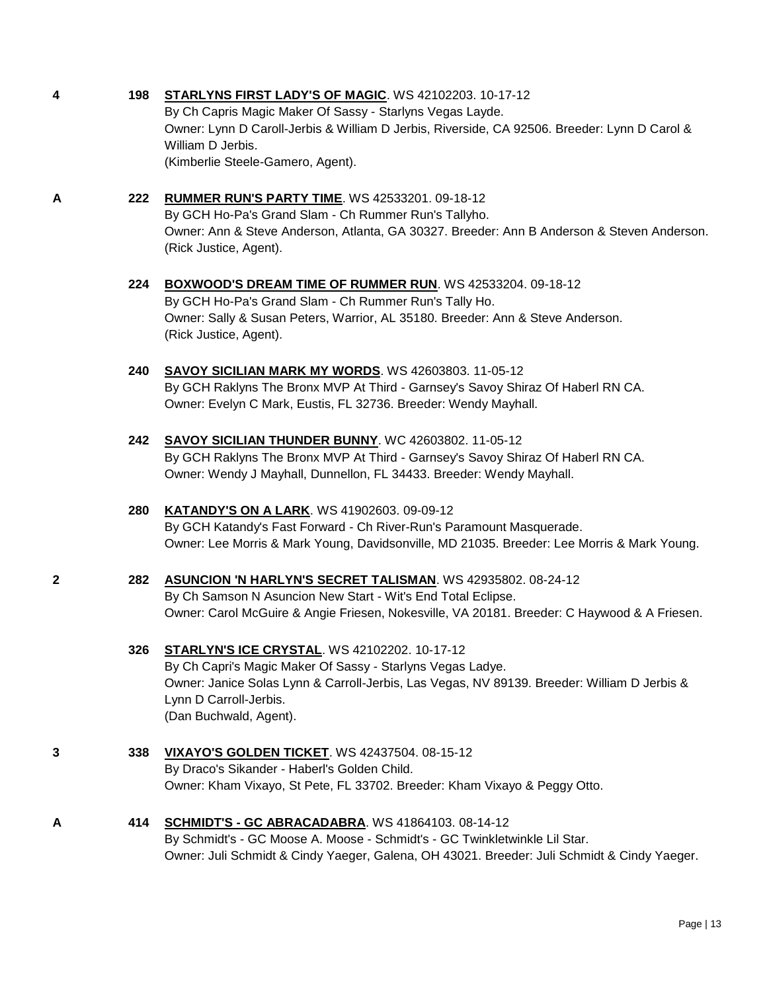#### **4 198 [STARLYNS FIRST LADY'S OF MAGIC](http://www.infodog.com/files/bdogrsl1.prg;makc=WS%2042102203;mdog=Starlyns_First_Lady_s_Of_Magic;wins=all)**. WS 42102203. 10-17-12

By Ch Capris Magic Maker Of Sassy - Starlyns Vegas Layde. Owner: Lynn D Caroll-Jerbis & William D Jerbis, Riverside, CA 92506. Breeder: Lynn D Carol & William D Jerbis. (Kimberlie Steele-Gamero, Agent).

# **A 222 [RUMMER RUN'S PARTY TIME](http://www.infodog.com/files/bdogrsl1.prg;makc=WS%2042533201;mdog=Rummer_Run_s_Party_Time;wins=all)**. WS 42533201. 09-18-12

By GCH Ho-Pa's Grand Slam - Ch Rummer Run's Tallyho. Owner: Ann & Steve Anderson, Atlanta, GA 30327. Breeder: Ann B Anderson & Steven Anderson. (Rick Justice, Agent).

# **224 [BOXWOOD'S DREAM TIME OF RUMMER RUN](http://www.infodog.com/files/bdogrsl1.prg;makc=WS%2042533204;mdog=Boxwood_s_Dream_Time_Of_Rummer_Run;wins=all)**. WS 42533204. 09-18-12 By GCH Ho-Pa's Grand Slam - Ch Rummer Run's Tally Ho.

Owner: Sally & Susan Peters, Warrior, AL 35180. Breeder: Ann & Steve Anderson. (Rick Justice, Agent).

# **240 [SAVOY SICILIAN MARK MY WORDS](http://www.infodog.com/files/bdogrsl1.prg;makc=WS%2042603803;mdog=Savoy_Sicilian_Mark_My_Words;wins=all)**. WS 42603803. 11-05-12 By GCH Raklyns The Bronx MVP At Third - Garnsey's Savoy Shiraz Of Haberl RN CA. Owner: Evelyn C Mark, Eustis, FL 32736. Breeder: Wendy Mayhall.

# **242 [SAVOY SICILIAN THUNDER BUNNY](http://www.infodog.com/files/bdogrsl1.prg;makc=WC%2042603802;mdog=Savoy_Sicilian_Thunder_Bunny;wins=all)**. WC 42603802. 11-05-12 By GCH Raklyns The Bronx MVP At Third - Garnsey's Savoy Shiraz Of Haberl RN CA. Owner: Wendy J Mayhall, Dunnellon, FL 34433. Breeder: Wendy Mayhall.

# **280 [KATANDY'S ON A LARK](http://www.infodog.com/files/bdogrsl1.prg;makc=WS%2041902603;mdog=Katandy_s_On_A_Lark;wins=all)**. WS 41902603. 09-09-12

By GCH Katandy's Fast Forward - Ch River-Run's Paramount Masquerade. Owner: Lee Morris & Mark Young, Davidsonville, MD 21035. Breeder: Lee Morris & Mark Young.

# **2 282 [ASUNCION 'N HARLYN'S SECRET TALISMAN](http://www.infodog.com/files/bdogrsl1.prg;makc=WS%2042935802;mdog=Asuncion__N_Harlyn_s_Secret_Talisman;wins=all)**. WS 42935802. 08-24-12 By Ch Samson N Asuncion New Start - Wit's End Total Eclipse. Owner: Carol McGuire & Angie Friesen, Nokesville, VA 20181. Breeder: C Haywood & A Friesen.

# **326 [STARLYN'S ICE CRYSTAL](http://www.infodog.com/files/bdogrsl1.prg;makc=WS%2042102202;mdog=Starlyn_s_Ice_Crystal;wins=all)**. WS 42102202. 10-17-12

By Ch Capri's Magic Maker Of Sassy - Starlyns Vegas Ladye. Owner: Janice Solas Lynn & Carroll-Jerbis, Las Vegas, NV 89139. Breeder: William D Jerbis & Lynn D Carroll-Jerbis. (Dan Buchwald, Agent).

**3 338 [VIXAYO'S GOLDEN TICKET](http://www.infodog.com/files/bdogrsl1.prg;makc=WS%2042437504;mdog=Vixayo_s_Golden_Ticket;wins=all)**. WS 42437504. 08-15-12 By Draco's Sikander - Haberl's Golden Child. Owner: Kham Vixayo, St Pete, FL 33702. Breeder: Kham Vixayo & Peggy Otto.

#### **A 414 SCHMIDT'S - [GC ABRACADABRA](http://www.infodog.com/files/bdogrsl1.prg;makc=WS%2041864103;mdog=Schmidt_s_-_GC_Abracadabra;wins=all)**. WS 41864103. 08-14-12 By Schmidt's - GC Moose A. Moose - Schmidt's - GC Twinkletwinkle Lil Star. Owner: Juli Schmidt & Cindy Yaeger, Galena, OH 43021. Breeder: Juli Schmidt & Cindy Yaeger.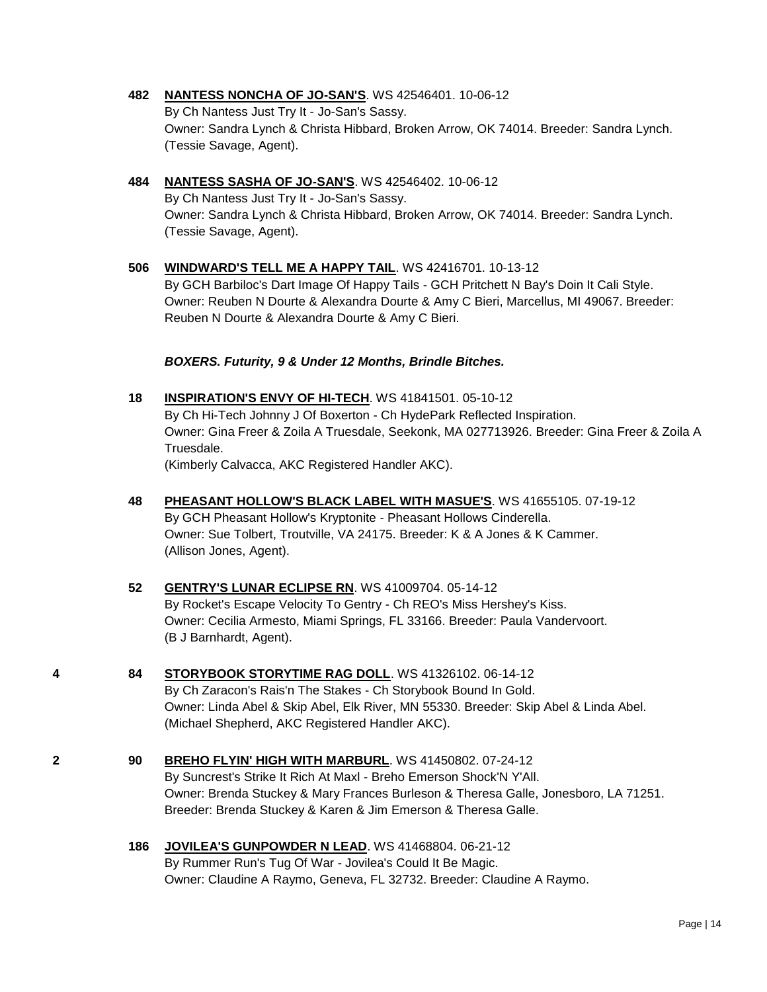# **482 [NANTESS NONCHA OF JO-SAN'S](http://www.infodog.com/files/bdogrsl1.prg;makc=WS%2042546401;mdog=Nantess_Noncha_Of_Jo-San_s;wins=all)**. WS 42546401. 10-06-12

By Ch Nantess Just Try It - Jo-San's Sassy. Owner: Sandra Lynch & Christa Hibbard, Broken Arrow, OK 74014. Breeder: Sandra Lynch. (Tessie Savage, Agent).

- **484 [NANTESS SASHA OF JO-SAN'S](http://www.infodog.com/files/bdogrsl1.prg;makc=WS%2042546402;mdog=Nantess_Sasha_Of_Jo-San_s;wins=all)**. WS 42546402. 10-06-12 By Ch Nantess Just Try It - Jo-San's Sassy. Owner: Sandra Lynch & Christa Hibbard, Broken Arrow, OK 74014. Breeder: Sandra Lynch. (Tessie Savage, Agent).
- **506 [WINDWARD'S TELL ME A HAPPY TAIL](http://www.infodog.com/files/bdogrsl1.prg;makc=WS%2042416701;mdog=Windward_s_Tell_Me_A_Happy_Tail;wins=all)**. WS 42416701. 10-13-12 By GCH Barbiloc's Dart Image Of Happy Tails - GCH Pritchett N Bay's Doin It Cali Style. Owner: Reuben N Dourte & Alexandra Dourte & Amy C Bieri, Marcellus, MI 49067. Breeder: Reuben N Dourte & Alexandra Dourte & Amy C Bieri.

### *BOXERS. Futurity, 9 & Under 12 Months, Brindle Bitches.*

- **18 [INSPIRATION'S ENVY OF HI-TECH](http://www.infodog.com/files/bdogrsl1.prg;makc=WS%2041841501;mdog=Inspiration_s_Envy_Of_Hi-Tech;wins=all)**. WS 41841501. 05-10-12 By Ch Hi-Tech Johnny J Of Boxerton - Ch HydePark Reflected Inspiration. Owner: Gina Freer & Zoila A Truesdale, Seekonk, MA 027713926. Breeder: Gina Freer & Zoila A Truesdale. (Kimberly Calvacca, AKC Registered Handler AKC).
- **48 [PHEASANT HOLLOW'S BLACK LABEL WITH MASUE'S](http://www.infodog.com/files/bdogrsl1.prg;makc=WS%2041655105;mdog=Pheasant_Hollow_s_Black_Label_With_Masue_s;wins=all)**. WS 41655105. 07-19-12 By GCH Pheasant Hollow's Kryptonite - Pheasant Hollows Cinderella. Owner: Sue Tolbert, Troutville, VA 24175. Breeder: K & A Jones & K Cammer. (Allison Jones, Agent).
- **52 [GENTRY'S LUNAR ECLIPSE RN](http://www.infodog.com/files/bdogrsl1.prg;makc=WS%2041009704;mdog=Gentry_s_Lunar_Eclipse_RN;wins=all)**. WS 41009704. 05-14-12 By Rocket's Escape Velocity To Gentry - Ch REO's Miss Hershey's Kiss. Owner: Cecilia Armesto, Miami Springs, FL 33166. Breeder: Paula Vandervoort. (B J Barnhardt, Agent).
- **4 84 [STORYBOOK STORYTIME RAG DOLL](http://www.infodog.com/files/bdogrsl1.prg;makc=WS%2041326102;mdog=Storybook_Storytime_Rag_Doll;wins=all)**. WS 41326102. 06-14-12 By Ch Zaracon's Rais'n The Stakes - Ch Storybook Bound In Gold. Owner: Linda Abel & Skip Abel, Elk River, MN 55330. Breeder: Skip Abel & Linda Abel. (Michael Shepherd, AKC Registered Handler AKC).
- **2 90 [BREHO FLYIN' HIGH WITH MARBURL](http://www.infodog.com/files/bdogrsl1.prg;makc=WS%2041450802;mdog=Breho_Flyin__High_With_Marburl;wins=all)**. WS 41450802. 07-24-12 By Suncrest's Strike It Rich At Maxl - Breho Emerson Shock'N Y'All. Owner: Brenda Stuckey & Mary Frances Burleson & Theresa Galle, Jonesboro, LA 71251. Breeder: Brenda Stuckey & Karen & Jim Emerson & Theresa Galle.
	- **186 [JOVILEA'S GUNPOWDER N LEAD](http://www.infodog.com/files/bdogrsl1.prg;makc=WS%2041468804;mdog=Jovilea_s_Gunpowder_N_Lead;wins=all)**. WS 41468804. 06-21-12 By Rummer Run's Tug Of War - Jovilea's Could It Be Magic. Owner: Claudine A Raymo, Geneva, FL 32732. Breeder: Claudine A Raymo.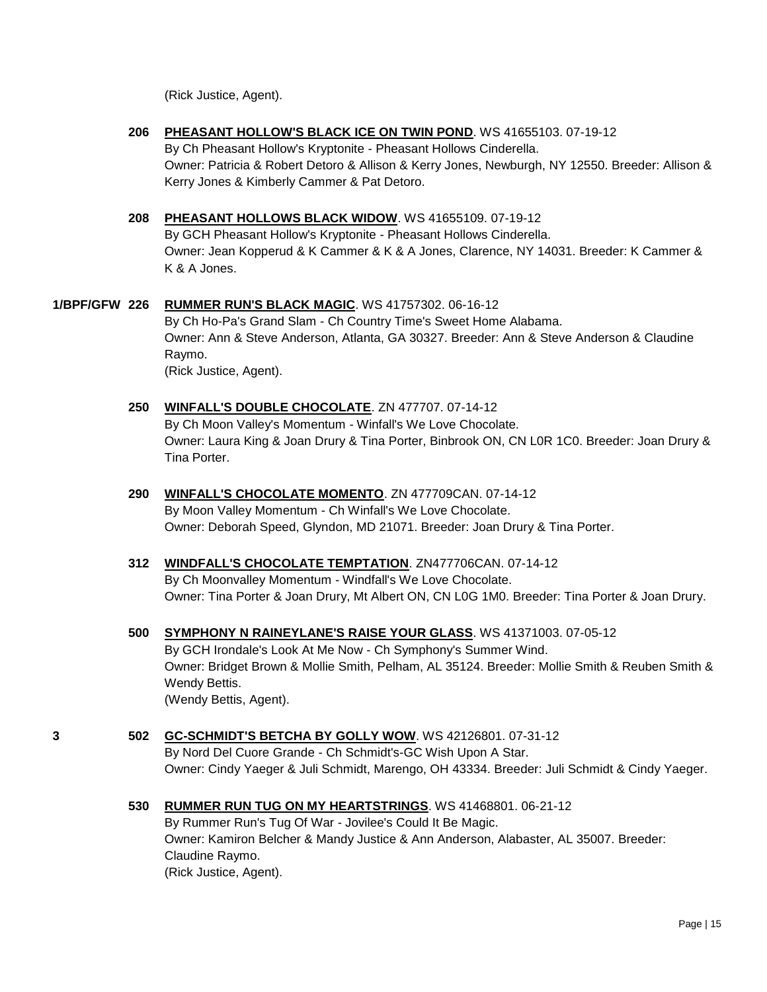(Rick Justice, Agent).

- **206 [PHEASANT HOLLOW'S BLACK ICE ON TWIN POND](http://www.infodog.com/files/bdogrsl1.prg;makc=WS%2041655103;mdog=Pheasant_Hollow_s_Black_Ice_On_Twin_Pond;wins=all)**. WS 41655103. 07-19-12 By Ch Pheasant Hollow's Kryptonite - Pheasant Hollows Cinderella. Owner: Patricia & Robert Detoro & Allison & Kerry Jones, Newburgh, NY 12550. Breeder: Allison & Kerry Jones & Kimberly Cammer & Pat Detoro.
- **208 [PHEASANT HOLLOWS BLACK WIDOW](http://www.infodog.com/files/bdogrsl1.prg;makc=WS%2041655109;mdog=Pheasant_Hollows_Black_Widow;wins=all)**. WS 41655109. 07-19-12

By GCH Pheasant Hollow's Kryptonite - Pheasant Hollows Cinderella. Owner: Jean Kopperud & K Cammer & K & A Jones, Clarence, NY 14031. Breeder: K Cammer & K & A Jones.

- **1/BPF/GFW 226 [RUMMER RUN'S BLACK MAGIC](http://www.infodog.com/files/bdogrsl1.prg;makc=WS%2041757302;mdog=Rummer_Run_s_Black_Magic;wins=all)**. WS 41757302. 06-16-12 By Ch Ho-Pa's Grand Slam - Ch Country Time's Sweet Home Alabama. Owner: Ann & Steve Anderson, Atlanta, GA 30327. Breeder: Ann & Steve Anderson & Claudine Raymo. (Rick Justice, Agent).
	- **250 [WINFALL'S DOUBLE CHOCOLATE](http://www.infodog.com/files/bdogrsl1.prg;makc=ZN%20477707;mdog=Winfall_s_Double_Chocolate;wins=all)**. ZN 477707. 07-14-12 By Ch Moon Valley's Momentum - Winfall's We Love Chocolate. Owner: Laura King & Joan Drury & Tina Porter, Binbrook ON, CN L0R 1C0. Breeder: Joan Drury & Tina Porter.
	- **290 [WINFALL'S CHOCOLATE MOMENTO](http://www.infodog.com/files/bdogrsl1.prg;makc=ZN%20477709CAN;mdog=Winfall_s_Chocolate_Momento;wins=all)**. ZN 477709CAN. 07-14-12 By Moon Valley Momentum - Ch Winfall's We Love Chocolate. Owner: Deborah Speed, Glyndon, MD 21071. Breeder: Joan Drury & Tina Porter.
	- **312 [WINDFALL'S CHOCOLATE TEMPTATION](http://www.infodog.com/files/bdogrsl1.prg;makc=ZN477706CAN;mdog=Windfall_s_Chocolate_Temptation;wins=all)**. ZN477706CAN. 07-14-12 By Ch Moonvalley Momentum - Windfall's We Love Chocolate. Owner: Tina Porter & Joan Drury, Mt Albert ON, CN L0G 1M0. Breeder: Tina Porter & Joan Drury.
	- **500 [SYMPHONY N RAINEYLANE'S RAISE YOUR GLASS](http://www.infodog.com/files/bdogrsl1.prg;makc=WS%2041371003;mdog=Symphony_N_Raineylane_s_Raise_Your_Glass;wins=all)**. WS 41371003. 07-05-12 By GCH Irondale's Look At Me Now - Ch Symphony's Summer Wind. Owner: Bridget Brown & Mollie Smith, Pelham, AL 35124. Breeder: Mollie Smith & Reuben Smith & Wendy Bettis. (Wendy Bettis, Agent).
- **3 502 [GC-SCHMIDT'S BETCHA BY GOLLY WOW](http://www.infodog.com/files/bdogrsl1.prg;makc=WS%2042126801;mdog=GC-Schmidt_s_Betcha_By_Golly_Wow;wins=all)**. WS 42126801. 07-31-12 By Nord Del Cuore Grande - Ch Schmidt's-GC Wish Upon A Star. Owner: Cindy Yaeger & Juli Schmidt, Marengo, OH 43334. Breeder: Juli Schmidt & Cindy Yaeger.
	- **530 [RUMMER RUN TUG ON MY HEARTSTRINGS](http://www.infodog.com/files/bdogrsl1.prg;makc=WS%2041468801;mdog=Rummer_Run_Tug_On_My_Heartstrings;wins=all)**. WS 41468801. 06-21-12 By Rummer Run's Tug Of War - Jovilee's Could It Be Magic. Owner: Kamiron Belcher & Mandy Justice & Ann Anderson, Alabaster, AL 35007. Breeder: Claudine Raymo. (Rick Justice, Agent).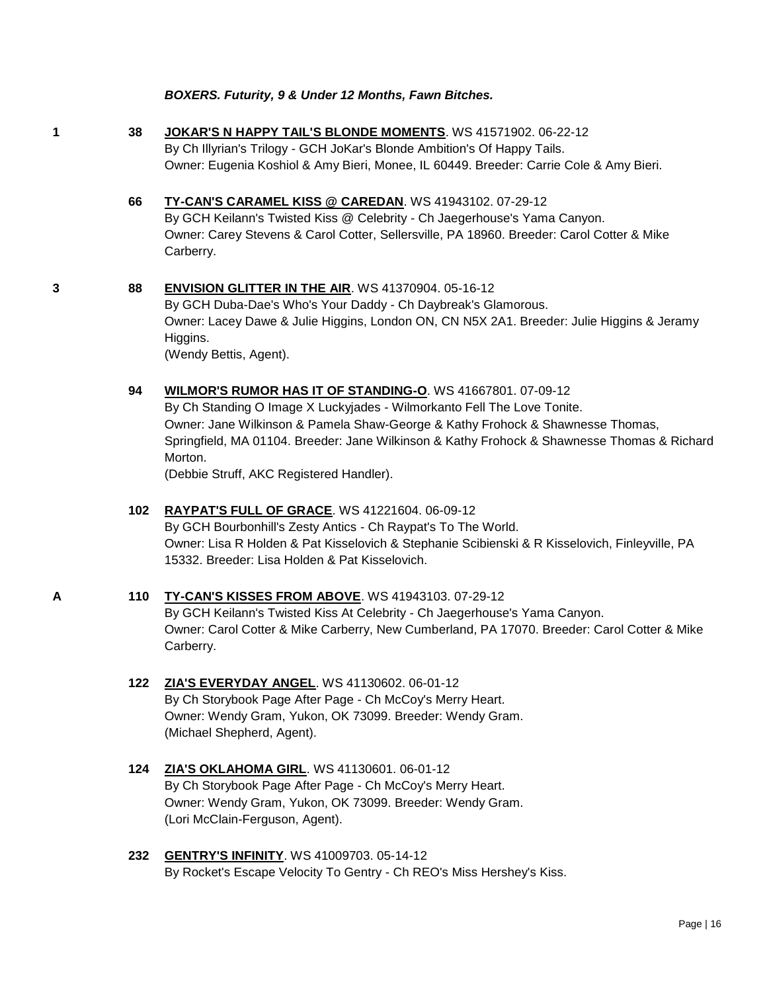#### *BOXERS. Futurity, 9 & Under 12 Months, Fawn Bitches.*

**1 38 [JOKAR'S N HAPPY TAIL'S BLONDE MOMENTS](http://www.infodog.com/files/bdogrsl1.prg;makc=WS%2041571902;mdog=JoKar_s_N_Happy_Tail_s_Blonde_Moments;wins=all)**. WS 41571902. 06-22-12 By Ch Illyrian's Trilogy - GCH JoKar's Blonde Ambition's Of Happy Tails. Owner: Eugenia Koshiol & Amy Bieri, Monee, IL 60449. Breeder: Carrie Cole & Amy Bieri.

- **66 [TY-CAN'S CARAMEL KISS @ CAREDAN](http://www.infodog.com/files/bdogrsl1.prg;makc=WS%2041943102;mdog=TY-CAN_s_Caramel_Kiss_@_Caredan;wins=all)**. WS 41943102. 07-29-12 By GCH Keilann's Twisted Kiss @ Celebrity - Ch Jaegerhouse's Yama Canyon. Owner: Carey Stevens & Carol Cotter, Sellersville, PA 18960. Breeder: Carol Cotter & Mike Carberry.
- **3 88 [ENVISION GLITTER IN THE AIR](http://www.infodog.com/files/bdogrsl1.prg;makc=WS%2041370904;mdog=Envision_Glitter_In_The_Air;wins=all)**. WS 41370904. 05-16-12 By GCH Duba-Dae's Who's Your Daddy - Ch Daybreak's Glamorous.

Owner: Lacey Dawe & Julie Higgins, London ON, CN N5X 2A1. Breeder: Julie Higgins & Jeramy Higgins. (Wendy Bettis, Agent).

**94 [WILMOR'S RUMOR HAS IT OF STANDING-O](http://www.infodog.com/files/bdogrsl1.prg;makc=WS%2041667801;mdog=Wilmor_s_Rumor_Has_It_Of_Standing-O;wins=all)**. WS 41667801. 07-09-12 By Ch Standing O Image X Luckyjades - Wilmorkanto Fell The Love Tonite. Owner: Jane Wilkinson & Pamela Shaw-George & Kathy Frohock & Shawnesse Thomas, Springfield, MA 01104. Breeder: Jane Wilkinson & Kathy Frohock & Shawnesse Thomas & Richard Morton.

(Debbie Struff, AKC Registered Handler).

# **102 [RAYPAT'S FULL OF GRACE](http://www.infodog.com/files/bdogrsl1.prg;makc=WS%2041221604;mdog=Raypat_s_Full_Of_Grace;wins=all)**. WS 41221604. 06-09-12 By GCH Bourbonhill's Zesty Antics - Ch Raypat's To The World. Owner: Lisa R Holden & Pat Kisselovich & Stephanie Scibienski & R Kisselovich, Finleyville, PA

15332. Breeder: Lisa Holden & Pat Kisselovich. **A 110 [TY-CAN'S KISSES FROM ABOVE](http://www.infodog.com/files/bdogrsl1.prg;makc=WS%2041943103;mdog=TY-CAN_s_Kisses_From_Above;wins=all)**. WS 41943103. 07-29-12

By GCH Keilann's Twisted Kiss At Celebrity - Ch Jaegerhouse's Yama Canyon. Owner: Carol Cotter & Mike Carberry, New Cumberland, PA 17070. Breeder: Carol Cotter & Mike Carberry.

- **122 [ZIA'S EVERYDAY ANGEL](http://www.infodog.com/files/bdogrsl1.prg;makc=WS%2041130602;mdog=Zia_s_Everyday_Angel;wins=all)**. WS 41130602. 06-01-12 By Ch Storybook Page After Page - Ch McCoy's Merry Heart. Owner: Wendy Gram, Yukon, OK 73099. Breeder: Wendy Gram. (Michael Shepherd, Agent).
- **124 [ZIA'S OKLAHOMA GIRL](http://www.infodog.com/files/bdogrsl1.prg;makc=WS%2041130601;mdog=Zia_s_Oklahoma_Girl;wins=all)**. WS 41130601. 06-01-12 By Ch Storybook Page After Page - Ch McCoy's Merry Heart. Owner: Wendy Gram, Yukon, OK 73099. Breeder: Wendy Gram. (Lori McClain-Ferguson, Agent).

# **232 [GENTRY'S INFINITY](http://www.infodog.com/files/bdogrsl1.prg;makc=WS%2041009703;mdog=Gentry_s_Infinity;wins=all)**. WS 41009703. 05-14-12 By Rocket's Escape Velocity To Gentry - Ch REO's Miss Hershey's Kiss.

Page | 16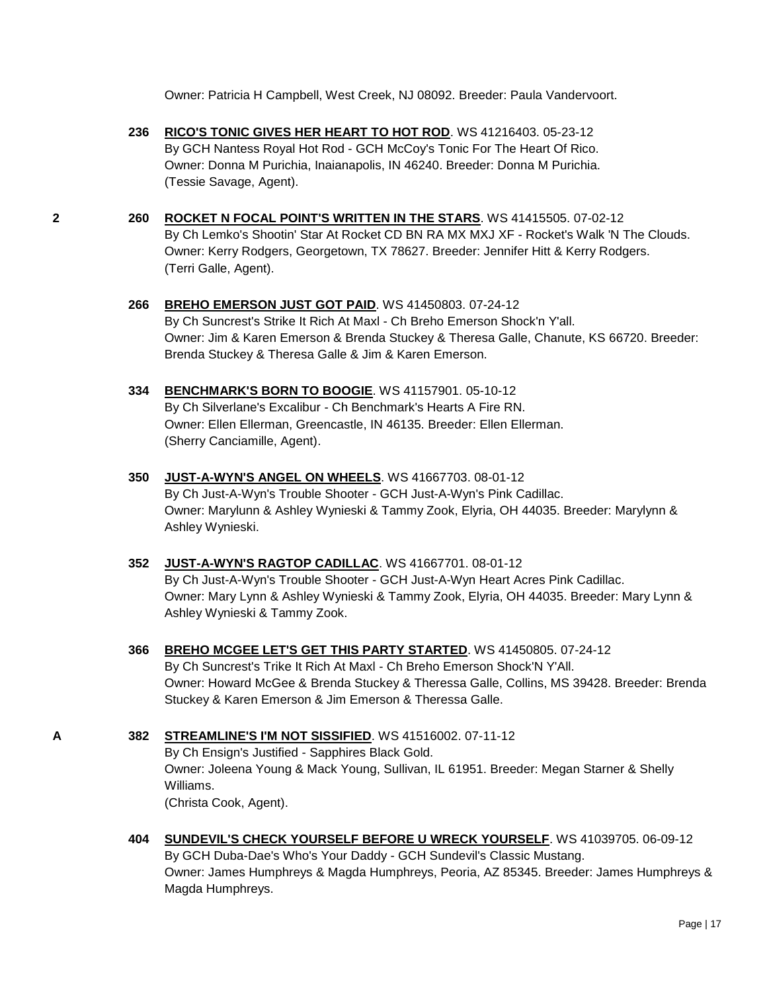Owner: Patricia H Campbell, West Creek, NJ 08092. Breeder: Paula Vandervoort.

**236 [RICO'S TONIC GIVES HER HEART TO HOT ROD](http://www.infodog.com/files/bdogrsl1.prg;makc=WS%2041216403;mdog=Rico_s_Tonic_Gives_Her_Heart_To_Hot_Rod;wins=all)**. WS 41216403. 05-23-12 By GCH Nantess Royal Hot Rod - GCH McCoy's Tonic For The Heart Of Rico. Owner: Donna M Purichia, Inaianapolis, IN 46240. Breeder: Donna M Purichia. (Tessie Savage, Agent).

- **2 260 [ROCKET N FOCAL POINT'S WRITTEN IN THE STARS](http://www.infodog.com/files/bdogrsl1.prg;makc=WS%2041415505;mdog=Rocket_N_Focal_Point_s_Written_In_The_Stars;wins=all)**. WS 41415505. 07-02-12 By Ch Lemko's Shootin' Star At Rocket CD BN RA MX MXJ XF - Rocket's Walk 'N The Clouds. Owner: Kerry Rodgers, Georgetown, TX 78627. Breeder: Jennifer Hitt & Kerry Rodgers. (Terri Galle, Agent).
	- **266 [BREHO EMERSON JUST GOT PAID](http://www.infodog.com/files/bdogrsl1.prg;makc=WS%2041450803;mdog=Breho_Emerson_Just_Got_Paid;wins=all)**. WS 41450803. 07-24-12 By Ch Suncrest's Strike It Rich At Maxl - Ch Breho Emerson Shock'n Y'all. Owner: Jim & Karen Emerson & Brenda Stuckey & Theresa Galle, Chanute, KS 66720. Breeder: Brenda Stuckey & Theresa Galle & Jim & Karen Emerson.
	- **334 [BENCHMARK'S BORN TO BOOGIE](http://www.infodog.com/files/bdogrsl1.prg;makc=WS%2041157901;mdog=Benchmark_s_Born_To_Boogie;wins=all)**. WS 41157901. 05-10-12 By Ch Silverlane's Excalibur - Ch Benchmark's Hearts A Fire RN. Owner: Ellen Ellerman, Greencastle, IN 46135. Breeder: Ellen Ellerman. (Sherry Canciamille, Agent).
	- **350 [JUST-A-WYN'S ANGEL ON WHEELS](http://www.infodog.com/files/bdogrsl1.prg;makc=WS%2041667703;mdog=Just-A-Wyn_s_Angel_On_Wheels;wins=all)**. WS 41667703. 08-01-12 By Ch Just-A-Wyn's Trouble Shooter - GCH Just-A-Wyn's Pink Cadillac. Owner: Marylunn & Ashley Wynieski & Tammy Zook, Elyria, OH 44035. Breeder: Marylynn & Ashley Wynieski.
	- **352 [JUST-A-WYN'S RAGTOP CADILLAC](http://www.infodog.com/files/bdogrsl1.prg;makc=WS%2041667701;mdog=Just-A-Wyn_s_Ragtop_Cadillac;wins=all)**. WS 41667701. 08-01-12 By Ch Just-A-Wyn's Trouble Shooter - GCH Just-A-Wyn Heart Acres Pink Cadillac. Owner: Mary Lynn & Ashley Wynieski & Tammy Zook, Elyria, OH 44035. Breeder: Mary Lynn & Ashley Wynieski & Tammy Zook.
	- **366 [BREHO MCGEE LET'S GET THIS PARTY STARTED](http://www.infodog.com/files/bdogrsl1.prg;makc=WS%2041450805;mdog=Breho_McGee_Let_s_Get_This_Party_Started;wins=all)**. WS 41450805. 07-24-12 By Ch Suncrest's Trike It Rich At Maxl - Ch Breho Emerson Shock'N Y'All. Owner: Howard McGee & Brenda Stuckey & Theressa Galle, Collins, MS 39428. Breeder: Brenda Stuckey & Karen Emerson & Jim Emerson & Theressa Galle.
- **A 382 [STREAMLINE'S I'M NOT SISSIFIED](http://www.infodog.com/files/bdogrsl1.prg;makc=WS%2041516002;mdog=Streamline_s_I_m_Not_Sissified;wins=all)**. WS 41516002. 07-11-12 By Ch Ensign's Justified - Sapphires Black Gold. Owner: Joleena Young & Mack Young, Sullivan, IL 61951. Breeder: Megan Starner & Shelly Williams. (Christa Cook, Agent).
	- **404 [SUNDEVIL'S CHECK YOURSELF BEFORE U WRECK YOURSELF](http://www.infodog.com/files/bdogrsl1.prg;makc=WS%2041039705;mdog=Sundevil_s_Check_Yourself_Before_U_Wreck_Yourself;wins=all)**. WS 41039705. 06-09-12 By GCH Duba-Dae's Who's Your Daddy - GCH Sundevil's Classic Mustang. Owner: James Humphreys & Magda Humphreys, Peoria, AZ 85345. Breeder: James Humphreys & Magda Humphreys.

Page | 17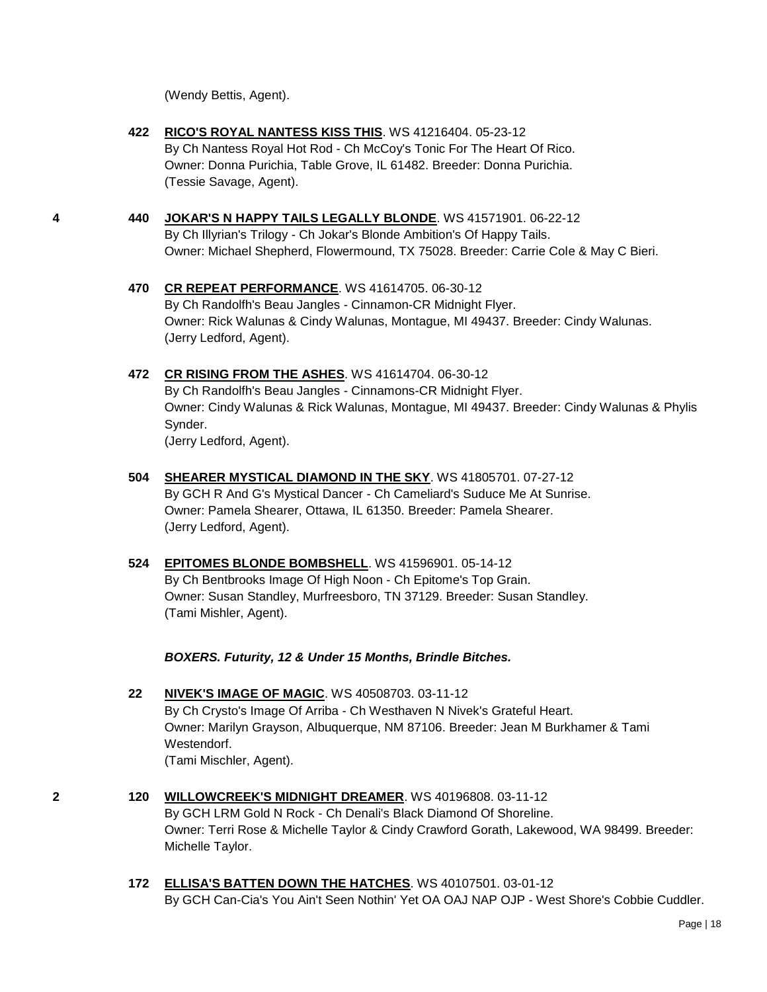(Wendy Bettis, Agent).

**422 [RICO'S ROYAL NANTESS KISS THIS](http://www.infodog.com/files/bdogrsl1.prg;makc=WS%2041216404;mdog=Rico_s_Royal_Nantess_Kiss_This;wins=all)**. WS 41216404. 05-23-12 By Ch Nantess Royal Hot Rod - Ch McCoy's Tonic For The Heart Of Rico. Owner: Donna Purichia, Table Grove, IL 61482. Breeder: Donna Purichia. (Tessie Savage, Agent).

- **4 440 [JOKAR'S N HAPPY TAILS LEGALLY BLONDE](http://www.infodog.com/files/bdogrsl1.prg;makc=WS%2041571901;mdog=Jokar_s_N_Happy_Tails_Legally_Blonde;wins=all)**. WS 41571901. 06-22-12 By Ch Illyrian's Trilogy - Ch Jokar's Blonde Ambition's Of Happy Tails. Owner: Michael Shepherd, Flowermound, TX 75028. Breeder: Carrie Cole & May C Bieri.
	- **470 [CR REPEAT PERFORMANCE](http://www.infodog.com/files/bdogrsl1.prg;makc=WS%2041614705;mdog=CR_Repeat_Performance;wins=all)**. WS 41614705. 06-30-12 By Ch Randolfh's Beau Jangles - Cinnamon-CR Midnight Flyer. Owner: Rick Walunas & Cindy Walunas, Montague, MI 49437. Breeder: Cindy Walunas. (Jerry Ledford, Agent).
	- **472 [CR RISING FROM THE ASHES](http://www.infodog.com/files/bdogrsl1.prg;makc=WS%2041614704;mdog=CR_Rising_From_The_Ashes;wins=all)**. WS 41614704. 06-30-12 By Ch Randolfh's Beau Jangles - Cinnamons-CR Midnight Flyer. Owner: Cindy Walunas & Rick Walunas, Montague, MI 49437. Breeder: Cindy Walunas & Phylis Synder. (Jerry Ledford, Agent).
	- **504 [SHEARER MYSTICAL DIAMOND IN THE SKY](http://www.infodog.com/files/bdogrsl1.prg;makc=WS%2041805701;mdog=Shearer_Mystical_Diamond_In_The_Sky;wins=all)**. WS 41805701. 07-27-12 By GCH R And G's Mystical Dancer - Ch Cameliard's Suduce Me At Sunrise. Owner: Pamela Shearer, Ottawa, IL 61350. Breeder: Pamela Shearer. (Jerry Ledford, Agent).
	- **524 [EPITOMES BLONDE BOMBSHELL](http://www.infodog.com/files/bdogrsl1.prg;makc=WS%2041596901;mdog=Epitomes_Blonde_Bombshell;wins=all)**. WS 41596901. 05-14-12 By Ch Bentbrooks Image Of High Noon - Ch Epitome's Top Grain. Owner: Susan Standley, Murfreesboro, TN 37129. Breeder: Susan Standley. (Tami Mishler, Agent).

*BOXERS. Futurity, 12 & Under 15 Months, Brindle Bitches.*

- **22 [NIVEK'S IMAGE OF MAGIC](http://www.infodog.com/files/bdogrsl1.prg;makc=WS%2040508703;mdog=Nivek_s_Image_Of_Magic;wins=all)**. WS 40508703. 03-11-12 By Ch Crysto's Image Of Arriba - Ch Westhaven N Nivek's Grateful Heart. Owner: Marilyn Grayson, Albuquerque, NM 87106. Breeder: Jean M Burkhamer & Tami Westendorf. (Tami Mischler, Agent).
- **2 120 [WILLOWCREEK'S MIDNIGHT DREAMER](http://www.infodog.com/files/bdogrsl1.prg;makc=WS%2040196808;mdog=Willowcreek_s_Midnight_Dreamer;wins=all)**. WS 40196808. 03-11-12 By GCH LRM Gold N Rock - Ch Denali's Black Diamond Of Shoreline. Owner: Terri Rose & Michelle Taylor & Cindy Crawford Gorath, Lakewood, WA 98499. Breeder: Michelle Taylor.
	- **172 [ELLISA'S BATTEN DOWN THE HATCHES](http://www.infodog.com/files/bdogrsl1.prg;makc=WS%2040107501;mdog=Ellisa_s_Batten_Down_The_Hatches;wins=all)**. WS 40107501. 03-01-12 By GCH Can-Cia's You Ain't Seen Nothin' Yet OA OAJ NAP OJP - West Shore's Cobbie Cuddler.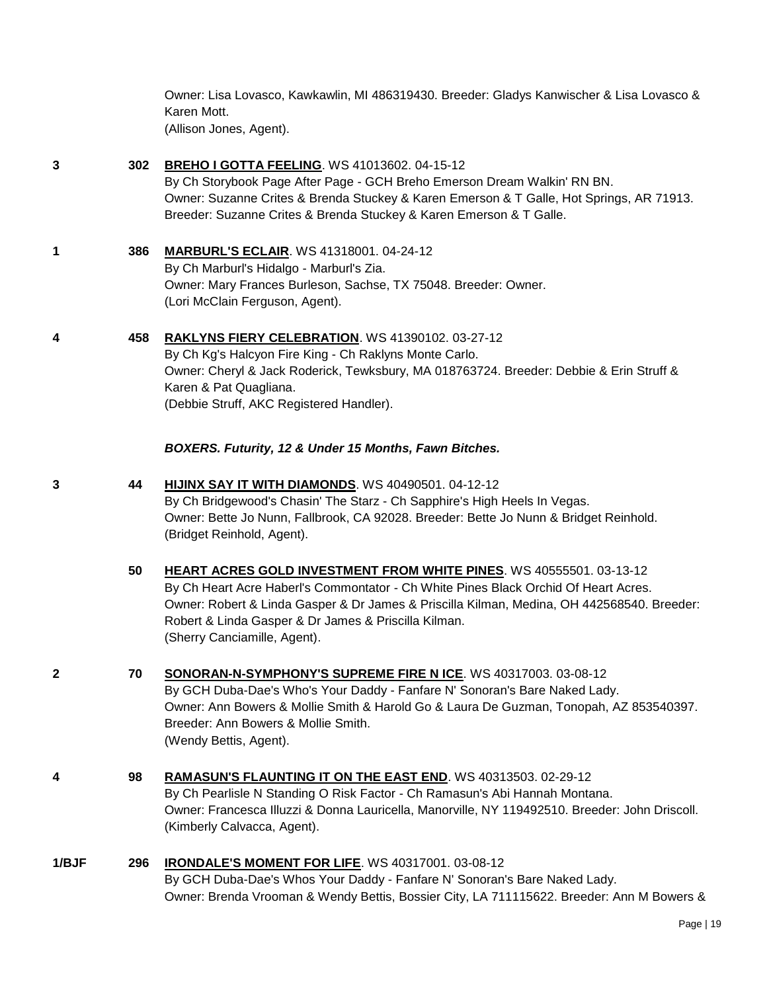Owner: Lisa Lovasco, Kawkawlin, MI 486319430. Breeder: Gladys Kanwischer & Lisa Lovasco & Karen Mott. (Allison Jones, Agent).

# **3 302 [BREHO I GOTTA FEELING](http://www.infodog.com/files/bdogrsl1.prg;makc=WS%2041013602;mdog=Breho_I_Gotta_Feeling;wins=all)**. WS 41013602. 04-15-12

By Ch Storybook Page After Page - GCH Breho Emerson Dream Walkin' RN BN. Owner: Suzanne Crites & Brenda Stuckey & Karen Emerson & T Galle, Hot Springs, AR 71913. Breeder: Suzanne Crites & Brenda Stuckey & Karen Emerson & T Galle.

# **1 386 [MARBURL'S ECLAIR](http://www.infodog.com/files/bdogrsl1.prg;makc=WS%2041318001;mdog=Marburl_s_Eclair;wins=all)**. WS 41318001. 04-24-12 By Ch Marburl's Hidalgo - Marburl's Zia. Owner: Mary Frances Burleson, Sachse, TX 75048. Breeder: Owner. (Lori McClain Ferguson, Agent).

#### **4 458 [RAKLYNS FIERY CELEBRATION](http://www.infodog.com/files/bdogrsl1.prg;makc=WS%2041390102;mdog=Raklyns_Fiery_Celebration;wins=all)**. WS 41390102. 03-27-12

By Ch Kg's Halcyon Fire King - Ch Raklyns Monte Carlo. Owner: Cheryl & Jack Roderick, Tewksbury, MA 018763724. Breeder: Debbie & Erin Struff & Karen & Pat Quagliana. (Debbie Struff, AKC Registered Handler).

#### *BOXERS. Futurity, 12 & Under 15 Months, Fawn Bitches.*

- **3 44 [HIJINX SAY IT WITH DIAMONDS](http://www.infodog.com/files/bdogrsl1.prg;makc=WS%2040490501;mdog=HiJinx_Say_It_With_Diamonds;wins=all)**. WS 40490501. 04-12-12 By Ch Bridgewood's Chasin' The Starz - Ch Sapphire's High Heels In Vegas. Owner: Bette Jo Nunn, Fallbrook, CA 92028. Breeder: Bette Jo Nunn & Bridget Reinhold. (Bridget Reinhold, Agent).
	- **50 [HEART ACRES GOLD INVESTMENT FROM WHITE PINES](http://www.infodog.com/files/bdogrsl1.prg;makc=WS%2040555501;mdog=Heart_Acres_Gold_Investment_From_White_Pines;wins=all)**. WS 40555501. 03-13-12 By Ch Heart Acre Haberl's Commontator - Ch White Pines Black Orchid Of Heart Acres. Owner: Robert & Linda Gasper & Dr James & Priscilla Kilman, Medina, OH 442568540. Breeder: Robert & Linda Gasper & Dr James & Priscilla Kilman. (Sherry Canciamille, Agent).
- **2 70 [SONORAN-N-SYMPHONY'S SUPREME FIRE N ICE](http://www.infodog.com/files/bdogrsl1.prg;makc=WS%2040317003;mdog=Sonoran-N-Symphony_s_Supreme_Fire_N_Ice;wins=all)**. WS 40317003. 03-08-12 By GCH Duba-Dae's Who's Your Daddy - Fanfare N' Sonoran's Bare Naked Lady. Owner: Ann Bowers & Mollie Smith & Harold Go & Laura De Guzman, Tonopah, AZ 853540397. Breeder: Ann Bowers & Mollie Smith. (Wendy Bettis, Agent).
- **4 98 [RAMASUN'S FLAUNTING IT ON THE EAST END](http://www.infodog.com/files/bdogrsl1.prg;makc=WS%2040313503;mdog=Ramasun_s_Flaunting_It_On_The_East_End;wins=all)**. WS 40313503. 02-29-12 By Ch Pearlisle N Standing O Risk Factor - Ch Ramasun's Abi Hannah Montana. Owner: Francesca Illuzzi & Donna Lauricella, Manorville, NY 119492510. Breeder: John Driscoll. (Kimberly Calvacca, Agent).

#### **1/BJF 296 [IRONDALE'S MOMENT FOR LIFE](http://www.infodog.com/files/bdogrsl1.prg;makc=WS%2040317001;mdog=Irondale_s_Moment_For_Life;wins=all)**. WS 40317001. 03-08-12 By GCH Duba-Dae's Whos Your Daddy - Fanfare N' Sonoran's Bare Naked Lady. Owner: Brenda Vrooman & Wendy Bettis, Bossier City, LA 711115622. Breeder: Ann M Bowers &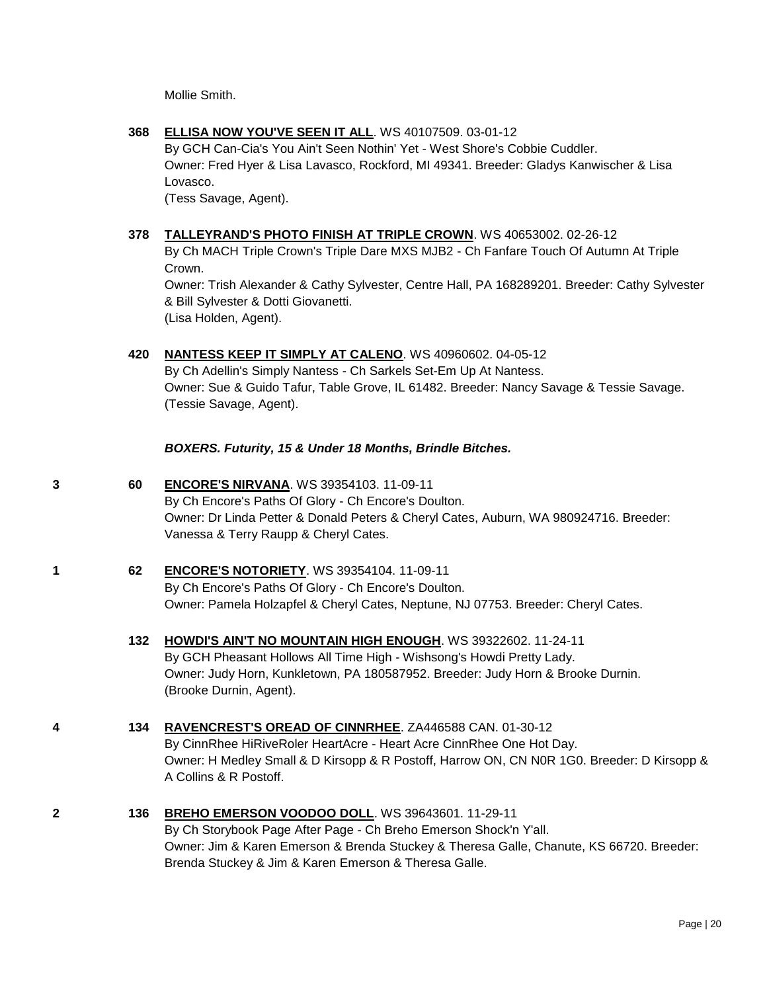Mollie Smith.

**368 [ELLISA NOW YOU'VE SEEN IT ALL](http://www.infodog.com/files/bdogrsl1.prg;makc=WS%2040107509;mdog=Ellisa_Now_You_Ve_Seen_It_All;wins=all)**. WS 40107509. 03-01-12

By GCH Can-Cia's You Ain't Seen Nothin' Yet - West Shore's Cobbie Cuddler. Owner: Fred Hyer & Lisa Lavasco, Rockford, MI 49341. Breeder: Gladys Kanwischer & Lisa Lovasco.

(Tess Savage, Agent).

# **378 [TALLEYRAND'S PHOTO FINISH AT TRIPLE CROWN](http://www.infodog.com/files/bdogrsl1.prg;makc=WS%2040653002;mdog=Talleyrand_s_Photo_Finish_At_Triple_Crown;wins=all)**. WS 40653002. 02-26-12

By Ch MACH Triple Crown's Triple Dare MXS MJB2 - Ch Fanfare Touch Of Autumn At Triple Crown.

Owner: Trish Alexander & Cathy Sylvester, Centre Hall, PA 168289201. Breeder: Cathy Sylvester & Bill Sylvester & Dotti Giovanetti. (Lisa Holden, Agent).

**420 [NANTESS KEEP IT SIMPLY AT CALENO](http://www.infodog.com/files/bdogrsl1.prg;makc=WS%2040960602;mdog=Nantess_Keep_It_Simply_At_Caleno;wins=all)**. WS 40960602. 04-05-12

By Ch Adellin's Simply Nantess - Ch Sarkels Set-Em Up At Nantess. Owner: Sue & Guido Tafur, Table Grove, IL 61482. Breeder: Nancy Savage & Tessie Savage. (Tessie Savage, Agent).

*BOXERS. Futurity, 15 & Under 18 Months, Brindle Bitches.*

- **3 60 [ENCORE'S NIRVANA](http://www.infodog.com/files/bdogrsl1.prg;makc=WS%2039354103;mdog=Encore_s_Nirvana;wins=all)**. WS 39354103. 11-09-11 By Ch Encore's Paths Of Glory - Ch Encore's Doulton. Owner: Dr Linda Petter & Donald Peters & Cheryl Cates, Auburn, WA 980924716. Breeder: Vanessa & Terry Raupp & Cheryl Cates.
- **1 62 [ENCORE'S NOTORIETY](http://www.infodog.com/files/bdogrsl1.prg;makc=WS%2039354104;mdog=Encore_s_Notoriety;wins=all)**. WS 39354104. 11-09-11 By Ch Encore's Paths Of Glory - Ch Encore's Doulton. Owner: Pamela Holzapfel & Cheryl Cates, Neptune, NJ 07753. Breeder: Cheryl Cates.
	- **132 [HOWDI'S AIN'T NO MOUNTAIN HIGH ENOUGH](http://www.infodog.com/files/bdogrsl1.prg;makc=WS%2039322602;mdog=Howdi_s_Ain_T_No_Mountain_High_Enough;wins=all)**. WS 39322602. 11-24-11 By GCH Pheasant Hollows All Time High - Wishsong's Howdi Pretty Lady. Owner: Judy Horn, Kunkletown, PA 180587952. Breeder: Judy Horn & Brooke Durnin. (Brooke Durnin, Agent).
- **4 134 [RAVENCREST'S OREAD OF CINNRHEE](http://www.infodog.com/files/bdogrsl1.prg;makc=ZA446588%20CAN;mdog=Ravencrest_s_Oread_Of_CinnRhee;wins=all)**. ZA446588 CAN. 01-30-12 By CinnRhee HiRiveRoler HeartAcre - Heart Acre CinnRhee One Hot Day. Owner: H Medley Small & D Kirsopp & R Postoff, Harrow ON, CN N0R 1G0. Breeder: D Kirsopp & A Collins & R Postoff.
- **2 136 [BREHO EMERSON VOODOO DOLL](http://www.infodog.com/files/bdogrsl1.prg;makc=WS%2039643601;mdog=Breho_Emerson_Voodoo_Doll;wins=all)**. WS 39643601. 11-29-11 By Ch Storybook Page After Page - Ch Breho Emerson Shock'n Y'all. Owner: Jim & Karen Emerson & Brenda Stuckey & Theresa Galle, Chanute, KS 66720. Breeder: Brenda Stuckey & Jim & Karen Emerson & Theresa Galle.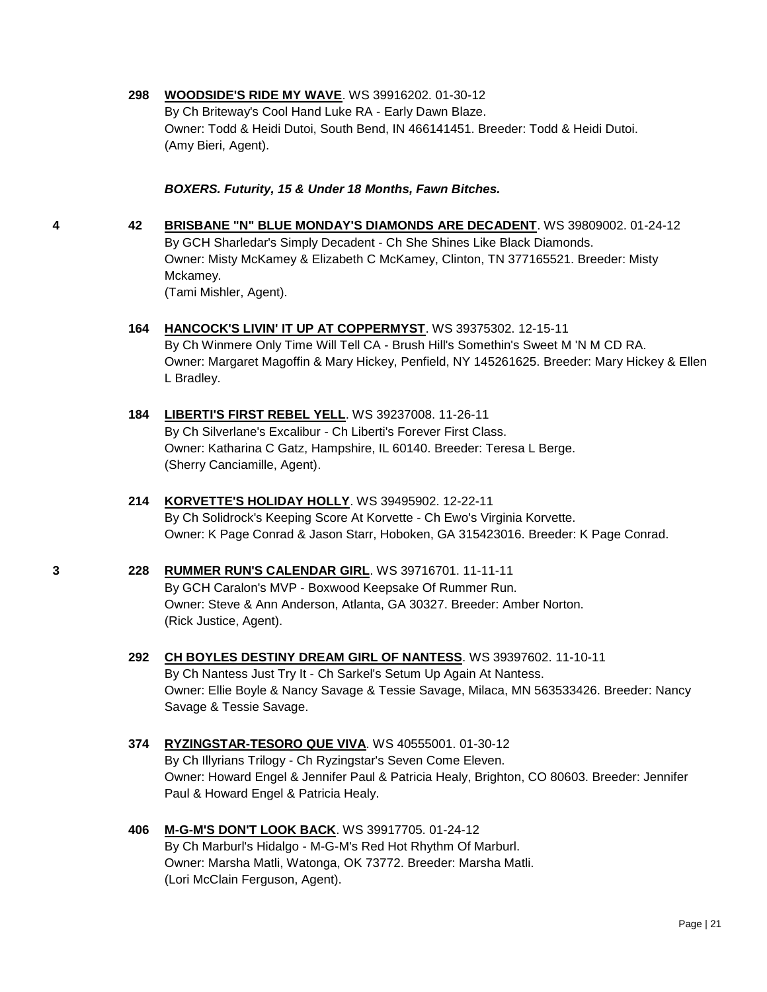#### **298 [WOODSIDE'S RIDE MY WAVE](http://www.infodog.com/files/bdogrsl1.prg;makc=WS%2039916202;mdog=Woodside_s_Ride_My_Wave;wins=all)**. WS 39916202. 01-30-12

By Ch Briteway's Cool Hand Luke RA - Early Dawn Blaze. Owner: Todd & Heidi Dutoi, South Bend, IN 466141451. Breeder: Todd & Heidi Dutoi. (Amy Bieri, Agent).

#### *BOXERS. Futurity, 15 & Under 18 Months, Fawn Bitches.*

**4 42 [BRISBANE "N" BLUE MONDAY'S DIAMONDS ARE DECADENT](http://www.infodog.com/files/bdogrsl1.prg;makc=WS%2039809002;mdog=Brisbane__N__Blue_Monday_s_Diamonds_Are_Decadent;wins=all)**. WS 39809002. 01-24-12 By GCH Sharledar's Simply Decadent - Ch She Shines Like Black Diamonds. Owner: Misty McKamey & Elizabeth C McKamey, Clinton, TN 377165521. Breeder: Misty Mckamey. (Tami Mishler, Agent).

- **164 [HANCOCK'S LIVIN' IT UP AT COPPERMYST](http://www.infodog.com/files/bdogrsl1.prg;makc=WS%2039375302;mdog=Hancock_s_Livin__It_Up_At_CopperMyst;wins=all)**. WS 39375302. 12-15-11 By Ch Winmere Only Time Will Tell CA - Brush Hill's Somethin's Sweet M 'N M CD RA. Owner: Margaret Magoffin & Mary Hickey, Penfield, NY 145261625. Breeder: Mary Hickey & Ellen L Bradley.
- **184 [LIBERTI'S FIRST REBEL YELL](http://www.infodog.com/files/bdogrsl1.prg;makc=WS%2039237008;mdog=Liberti_s_First_Rebel_Yell;wins=all)**. WS 39237008. 11-26-11 By Ch Silverlane's Excalibur - Ch Liberti's Forever First Class. Owner: Katharina C Gatz, Hampshire, IL 60140. Breeder: Teresa L Berge. (Sherry Canciamille, Agent).
- **214 [KORVETTE'S HOLIDAY HOLLY](http://www.infodog.com/files/bdogrsl1.prg;makc=WS%2039495902;mdog=Korvette_s_Holiday_Holly;wins=all)**. WS 39495902. 12-22-11 By Ch Solidrock's Keeping Score At Korvette - Ch Ewo's Virginia Korvette. Owner: K Page Conrad & Jason Starr, Hoboken, GA 315423016. Breeder: K Page Conrad.
- **3 228 [RUMMER RUN'S CALENDAR GIRL](http://www.infodog.com/files/bdogrsl1.prg;makc=WS%2039716701;mdog=Rummer_Run_s_Calendar_Girl;wins=all)**. WS 39716701. 11-11-11 By GCH Caralon's MVP - Boxwood Keepsake Of Rummer Run. Owner: Steve & Ann Anderson, Atlanta, GA 30327. Breeder: Amber Norton. (Rick Justice, Agent).
	- **292 [CH BOYLES DESTINY DREAM GIRL OF NANTESS](http://www.infodog.com/files/bdogrsl1.prg;makc=WS%2039397602;mdog=Ch_Boyles_Destiny_Dream_Girl_Of_Nantess;wins=all)**. WS 39397602. 11-10-11 By Ch Nantess Just Try It - Ch Sarkel's Setum Up Again At Nantess. Owner: Ellie Boyle & Nancy Savage & Tessie Savage, Milaca, MN 563533426. Breeder: Nancy Savage & Tessie Savage.
	- **374 [RYZINGSTAR-TESORO QUE VIVA](http://www.infodog.com/files/bdogrsl1.prg;makc=WS%2040555001;mdog=Ryzingstar-Tesoro_Que_Viva;wins=all)**. WS 40555001. 01-30-12 By Ch Illyrians Trilogy - Ch Ryzingstar's Seven Come Eleven. Owner: Howard Engel & Jennifer Paul & Patricia Healy, Brighton, CO 80603. Breeder: Jennifer Paul & Howard Engel & Patricia Healy.
	- **406 [M-G-M'S DON'T LOOK BACK](http://www.infodog.com/files/bdogrsl1.prg;makc=WS%2039917705;mdog=M-G-M_s_Don_t_Look_Back;wins=all)**. WS 39917705. 01-24-12 By Ch Marburl's Hidalgo - M-G-M's Red Hot Rhythm Of Marburl. Owner: Marsha Matli, Watonga, OK 73772. Breeder: Marsha Matli. (Lori McClain Ferguson, Agent).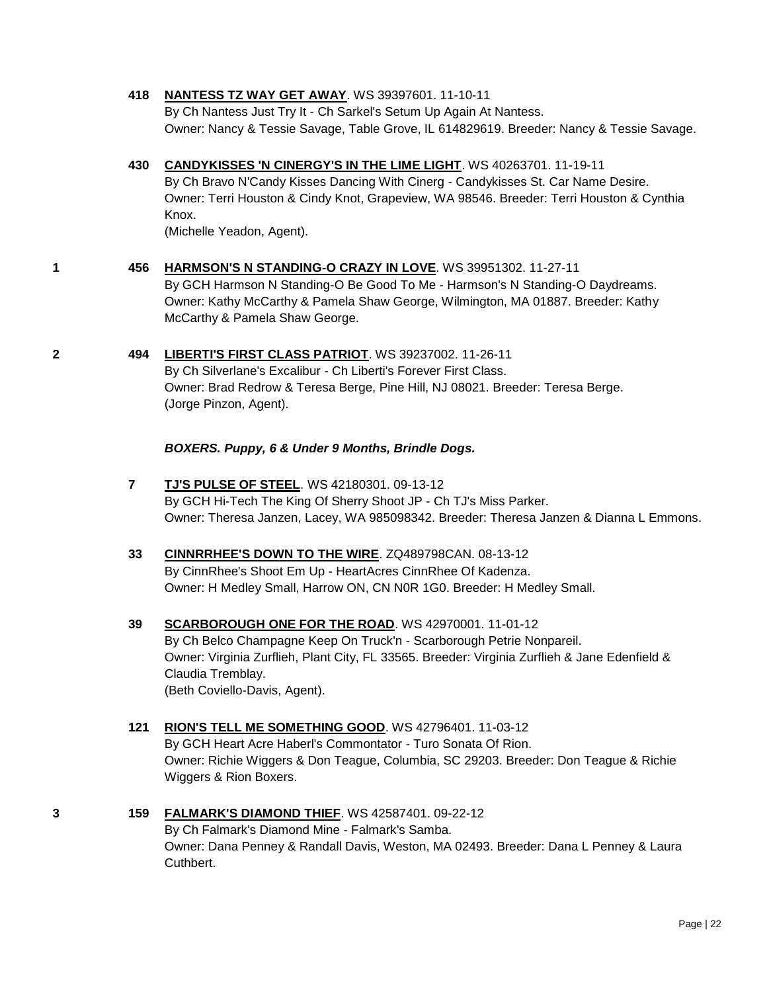#### **418 [NANTESS TZ WAY GET AWAY](http://www.infodog.com/files/bdogrsl1.prg;makc=WS%2039397601;mdog=Nantess_Tz_Way_Get_Away;wins=all)**. WS 39397601. 11-10-11

By Ch Nantess Just Try It - Ch Sarkel's Setum Up Again At Nantess. Owner: Nancy & Tessie Savage, Table Grove, IL 614829619. Breeder: Nancy & Tessie Savage.

### **430 [CANDYKISSES 'N CINERGY'S IN THE LIME LIGHT](http://www.infodog.com/files/bdogrsl1.prg;makc=WS%2040263701;mdog=Candykisses__N_Cinergy_s_In_The_Lime_Light;wins=all)**. WS 40263701. 11-19-11

By Ch Bravo N'Candy Kisses Dancing With Cinerg - Candykisses St. Car Name Desire. Owner: Terri Houston & Cindy Knot, Grapeview, WA 98546. Breeder: Terri Houston & Cynthia Knox.

(Michelle Yeadon, Agent).

# **1 456 [HARMSON'S N STANDING-O CRAZY IN LOVE](http://www.infodog.com/files/bdogrsl1.prg;makc=WS%2039951302;mdog=Harmson_s_N_Standing-O_Crazy_In_Love;wins=all)**. WS 39951302. 11-27-11

By GCH Harmson N Standing-O Be Good To Me - Harmson's N Standing-O Daydreams. Owner: Kathy McCarthy & Pamela Shaw George, Wilmington, MA 01887. Breeder: Kathy McCarthy & Pamela Shaw George.

#### **2 494 [LIBERTI'S FIRST CLASS PATRIOT](http://www.infodog.com/files/bdogrsl1.prg;makc=WS%2039237002;mdog=Liberti_s_First_Class_Patriot;wins=all)**. WS 39237002. 11-26-11

By Ch Silverlane's Excalibur - Ch Liberti's Forever First Class. Owner: Brad Redrow & Teresa Berge, Pine Hill, NJ 08021. Breeder: Teresa Berge. (Jorge Pinzon, Agent).

### *BOXERS. Puppy, 6 & Under 9 Months, Brindle Dogs.*

**7 [TJ'S PULSE OF STEEL](http://www.infodog.com/files/bdogrsl1.prg;makc=WS%2042180301;mdog=TJ_s_Pulse_Of_Steel;wins=all)**. WS 42180301. 09-13-12 By GCH Hi-Tech The King Of Sherry Shoot JP - Ch TJ's Miss Parker. Owner: Theresa Janzen, Lacey, WA 985098342. Breeder: Theresa Janzen & Dianna L Emmons.

# **33 [CINNRRHEE'S DOWN TO THE WIRE](http://www.infodog.com/files/bdogrsl1.prg;makc=ZQ489798CAN;mdog=CinnrRhee_s_Down_To_The_Wire;wins=all)**. ZQ489798CAN. 08-13-12 By CinnRhee's Shoot Em Up - HeartAcres CinnRhee Of Kadenza. Owner: H Medley Small, Harrow ON, CN N0R 1G0. Breeder: H Medley Small.

**39 [SCARBOROUGH ONE FOR THE ROAD](http://www.infodog.com/files/bdogrsl1.prg;makc=WS%2042970001;mdog=Scarborough_One_For_The_Road;wins=all)**. WS 42970001. 11-01-12 By Ch Belco Champagne Keep On Truck'n - Scarborough Petrie Nonpareil. Owner: Virginia Zurflieh, Plant City, FL 33565. Breeder: Virginia Zurflieh & Jane Edenfield & Claudia Tremblay. (Beth Coviello-Davis, Agent).

# **121 [RION'S TELL ME SOMETHING GOOD](http://www.infodog.com/files/bdogrsl1.prg;makc=WS%2042796401;mdog=Rion_s_Tell_Me_Something_Good;wins=all)**. WS 42796401. 11-03-12 By GCH Heart Acre Haberl's Commontator - Turo Sonata Of Rion. Owner: Richie Wiggers & Don Teague, Columbia, SC 29203. Breeder: Don Teague & Richie Wiggers & Rion Boxers.

**3 159 [FALMARK'S DIAMOND THIEF](http://www.infodog.com/files/bdogrsl1.prg;makc=WS%2042587401;mdog=Falmark_s_Diamond_Thief;wins=all)**. WS 42587401. 09-22-12 By Ch Falmark's Diamond Mine - Falmark's Samba. Owner: Dana Penney & Randall Davis, Weston, MA 02493. Breeder: Dana L Penney & Laura Cuthbert.